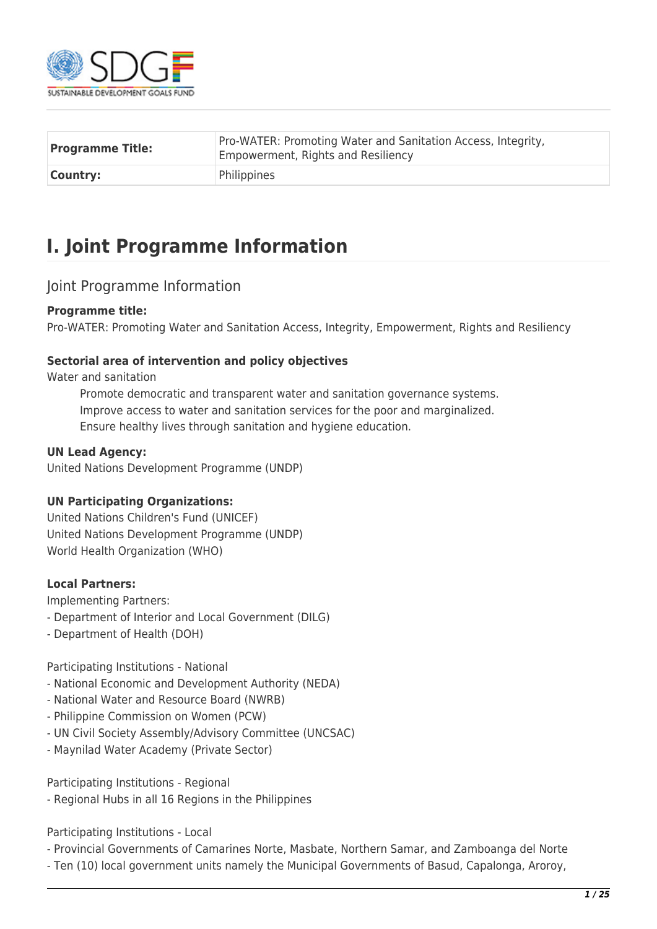

| <b>Programme Title:</b> | Pro-WATER: Promoting Water and Sanitation Access, Integrity,<br><b>Empowerment, Rights and Resiliency</b> |  |  |  |
|-------------------------|-----------------------------------------------------------------------------------------------------------|--|--|--|
| Country:                | Philippines                                                                                               |  |  |  |

# **I. Joint Programme Information**

### Joint Programme Information

### **Programme title:**

Pro-WATER: Promoting Water and Sanitation Access, Integrity, Empowerment, Rights and Resiliency

### **Sectorial area of intervention and policy objectives**

Water and sanitation

Promote democratic and transparent water and sanitation governance systems. Improve access to water and sanitation services for the poor and marginalized. Ensure healthy lives through sanitation and hygiene education.

### **UN Lead Agency:**

United Nations Development Programme (UNDP)

### **UN Participating Organizations:**

United Nations Children's Fund (UNICEF) United Nations Development Programme (UNDP) World Health Organization (WHO)

### **Local Partners:**

Implementing Partners:

- Department of Interior and Local Government (DILG)
- Department of Health (DOH)

Participating Institutions - National

- National Economic and Development Authority (NEDA)
- National Water and Resource Board (NWRB)
- Philippine Commission on Women (PCW)
- UN Civil Society Assembly/Advisory Committee (UNCSAC)
- Maynilad Water Academy (Private Sector)

Participating Institutions - Regional

- Regional Hubs in all 16 Regions in the Philippines

Participating Institutions - Local

- Provincial Governments of Camarines Norte, Masbate, Northern Samar, and Zamboanga del Norte
- Ten (10) local government units namely the Municipal Governments of Basud, Capalonga, Aroroy,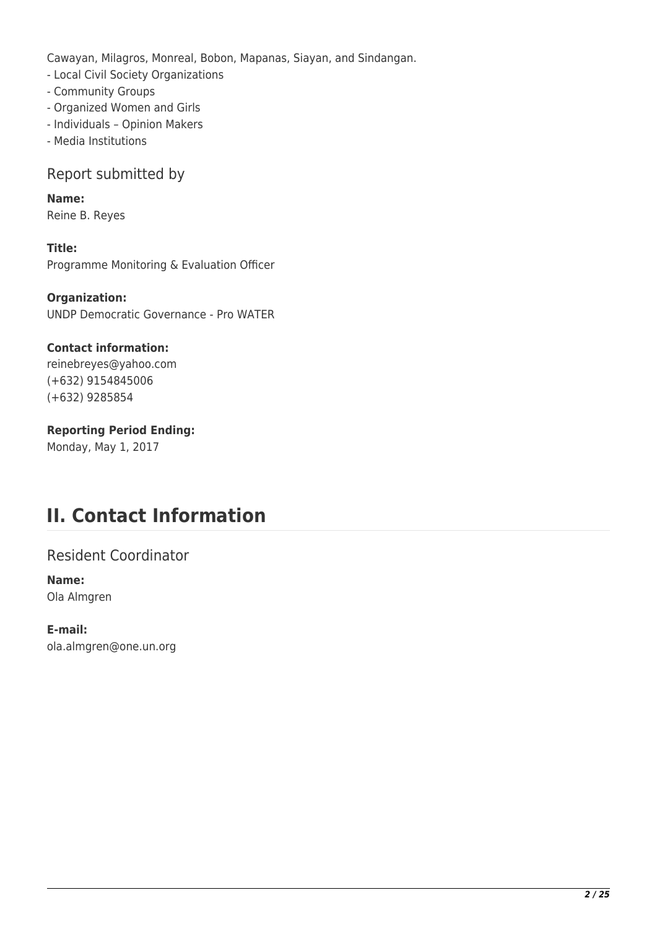Cawayan, Milagros, Monreal, Bobon, Mapanas, Siayan, and Sindangan.

- Local Civil Society Organizations
- Community Groups
- Organized Women and Girls
- Individuals Opinion Makers
- Media Institutions

## Report submitted by

**Name:**  Reine B. Reyes

**Title:**  Programme Monitoring & Evaluation Officer

**Organization:**  UNDP Democratic Governance - Pro WATER

### **Contact information:**

reinebreyes@yahoo.com (+632) 9154845006 (+632) 9285854

### **Reporting Period Ending:**

Monday, May 1, 2017

# **II. Contact Information**

Resident Coordinator

### **Name:**  Ola Almgren

**E-mail:**  ola.almgren@one.un.org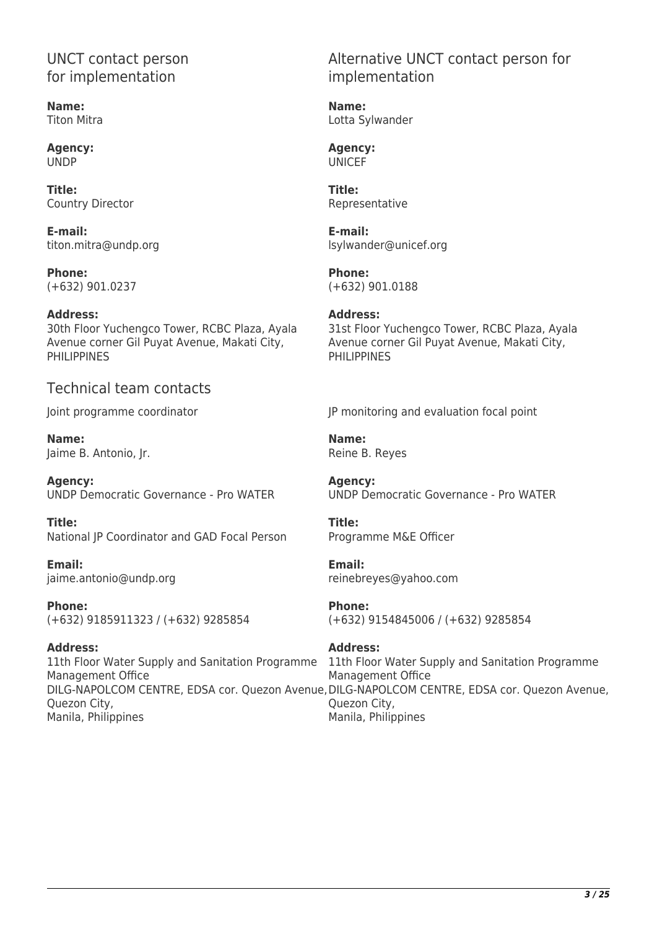## UNCT contact person for implementation

**Name:**  Titon Mitra

**Agency:**  UNDP

**Title:**  Country Director

**E-mail:**  titon.mitra@undp.org

**Phone:**  (+632) 901.0237

**Address:** 

30th Floor Yuchengco Tower, RCBC Plaza, Ayala Avenue corner Gil Puyat Avenue, Makati City, PHILIPPINES

## Technical team contacts

Joint programme coordinator

**Name:**  Jaime B. Antonio, Jr.

**Agency:**  UNDP Democratic Governance - Pro WATER

**Title:**  National JP Coordinator and GAD Focal Person

**Email:**  jaime.antonio@undp.org

**Phone:**  (+632) 9185911323 / (+632) 9285854

**Address:**  11th Floor Water Supply and Sanitation Programme Management Office Quezon City, Manila, Philippines

## Alternative UNCT contact person for implementation

**Name:**  Lotta Sylwander

**Agency:**  UNICEF

**Title:**  Representative

**E-mail:**  lsylwander@unicef.org

**Phone:**  (+632) 901.0188

**Address:**  31st Floor Yuchengco Tower, RCBC Plaza, Ayala Avenue corner Gil Puyat Avenue, Makati City, PHILIPPINES

JP monitoring and evaluation focal point

**Name:**  Reine B. Reyes

**Agency:**  UNDP Democratic Governance - Pro WATER

**Title:**  Programme M&E Officer

**Email:** 

reinebreyes@yahoo.com

**Phone:** 

(+632) 9154845006 / (+632) 9285854

## **Address:**

DILG-NAPOLCOM CENTRE, EDSA cor. Quezon Avenue, DILG-NAPOLCOM CENTRE, EDSA cor. Quezon Avenue, 11th Floor Water Supply and Sanitation Programme Management Office Quezon City, Manila, Philippines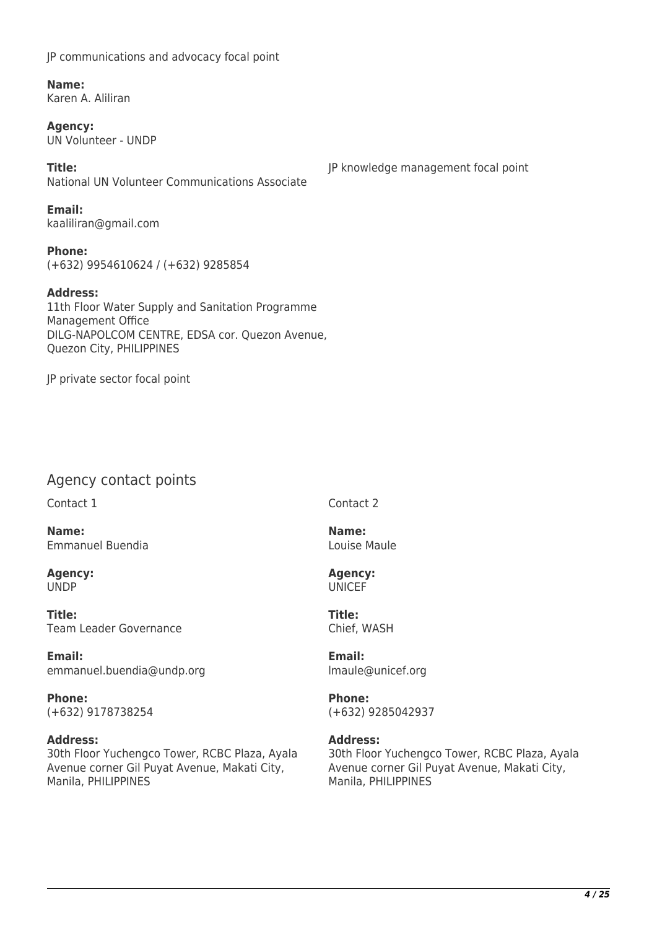JP communications and advocacy focal point

**Name:**  Karen A. Aliliran

**Agency:**  UN Volunteer - UNDP

**Title:**  National UN Volunteer Communications Associate

**Email:**  kaaliliran@gmail.com

**Phone:**  (+632) 9954610624 / (+632) 9285854

**Address:**  11th Floor Water Supply and Sanitation Programme Management Office DILG-NAPOLCOM CENTRE, EDSA cor. Quezon Avenue, Quezon City, PHILIPPINES

JP private sector focal point

## Agency contact points

Contact 1

**Name:**  Emmanuel Buendia

**Agency:**  UNDP

**Title:**  Team Leader Governance

**Email:**  emmanuel.buendia@undp.org

**Phone:**  (+632) 9178738254

### **Address:**

30th Floor Yuchengco Tower, RCBC Plaza, Ayala Avenue corner Gil Puyat Avenue, Makati City, Manila, PHILIPPINES

JP knowledge management focal point

Contact 2

**Name:**  Louise Maule

**Agency:**  UNICEF

**Title:**  Chief, WASH

**Email:**  lmaule@unicef.org

**Phone:**  (+632) 9285042937

### **Address:**

30th Floor Yuchengco Tower, RCBC Plaza, Ayala Avenue corner Gil Puyat Avenue, Makati City, Manila, PHILIPPINES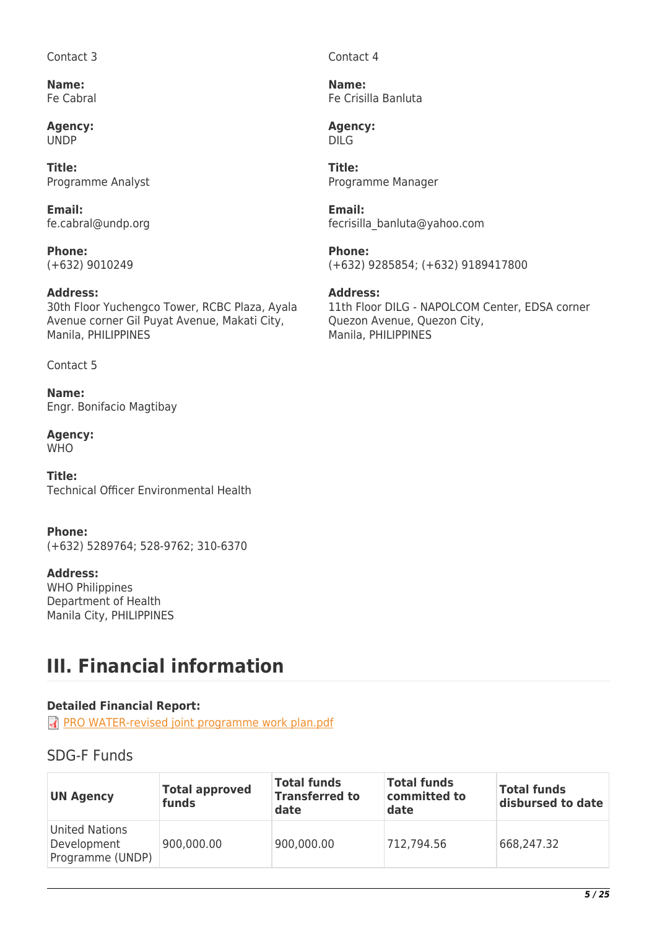Contact 3

**Name:**  Fe Cabral

**Agency:**  UNDP

**Title:**  Programme Analyst

**Email:**  fe.cabral@undp.org

**Phone:**  (+632) 9010249

### **Address:**

30th Floor Yuchengco Tower, RCBC Plaza, Ayala Avenue corner Gil Puyat Avenue, Makati City, Manila, PHILIPPINES

Contact 5

**Name:**  Engr. Bonifacio Magtibay

**Agency: WHO** 

**Title:**  Technical Officer Environmental Health

**Phone:**  (+632) 5289764; 528-9762; 310-6370

**Address:**  WHO Philippines Department of Health Manila City, PHILIPPINES

# **III. Financial information**

### **Detailed Financial Report:**

**R** [PRO WATER-revised joint programme work plan.pdf](http://proposals.sdgfund.org/system/files/report-attachments/PRO%20WATER-revised%20joint%20programme%20work%20plan.pdf)

# SDG-F Funds

| <b>UN Agency</b>                                         | <b>Total approved</b><br>funds | <b>Total funds</b><br><b>Transferred to</b><br>date | <b>Total funds</b><br>committed to<br>date | <b>Total funds</b><br>disbursed to date |
|----------------------------------------------------------|--------------------------------|-----------------------------------------------------|--------------------------------------------|-----------------------------------------|
| <b>United Nations</b><br>Development<br>Programme (UNDP) | 900,000.00                     | 900,000.00                                          | 712,794.56                                 | 668,247.32                              |

Contact 4

**Name:**  Fe Crisilla Banluta

**Agency:**  DILG

**Title:**  Programme Manager

**Email:**  fecrisilla\_banluta@yahoo.com

**Phone:**  (+632) 9285854; (+632) 9189417800

### **Address:**

11th Floor DILG - NAPOLCOM Center, EDSA corner Quezon Avenue, Quezon City, Manila, PHILIPPINES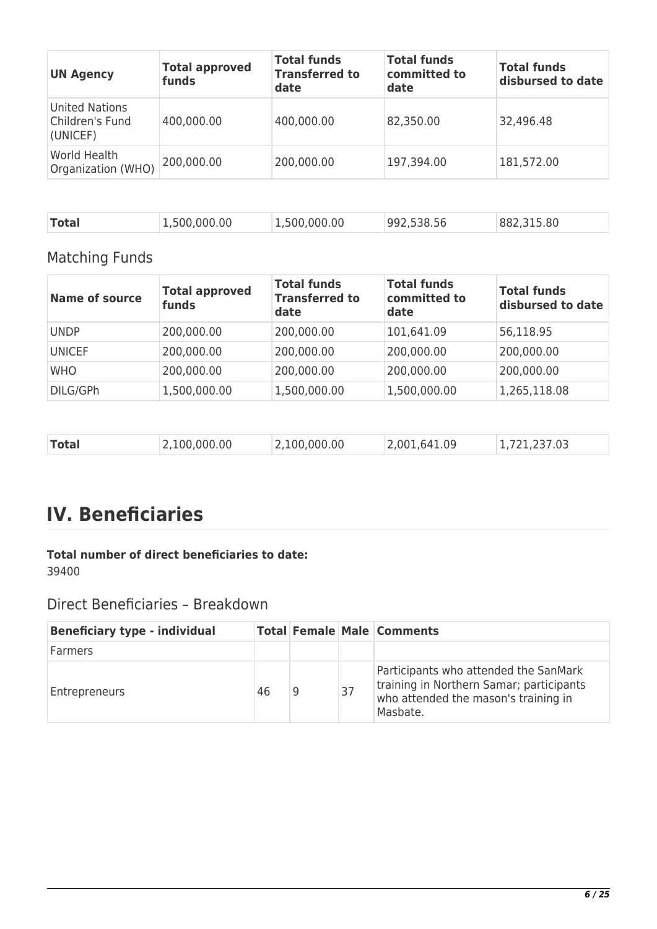| <b>UN Agency</b>                                     | <b>Total approved</b><br>funds | <b>Total funds</b><br><b>Transferred to</b><br>date | <b>Total funds</b><br>committed to<br>date | <b>Total funds</b><br>disbursed to date |
|------------------------------------------------------|--------------------------------|-----------------------------------------------------|--------------------------------------------|-----------------------------------------|
| <b>United Nations</b><br>Children's Fund<br>(UNICEF) | 400,000.00                     | 400,000.00                                          | 82,350.00                                  | 32,496.48                               |
| World Health<br>Organization (WHO)                   | 200,000.00                     | 200,000.00                                          | 197,394.00                                 | 181,572.00                              |

|--|

# Matching Funds

| <b>Name of source</b> | <b>Total approved</b><br>funds | <b>Total funds</b><br><b>Transferred to</b><br>date | <b>Total funds</b><br>committed to<br>date | <b>Total funds</b><br>disbursed to date |
|-----------------------|--------------------------------|-----------------------------------------------------|--------------------------------------------|-----------------------------------------|
| <b>UNDP</b>           | 200,000.00                     | 200,000.00                                          | 101,641.09                                 | 56,118.95                               |
| <b>UNICEF</b>         | 200,000.00                     | 200,000.00                                          | 200,000.00                                 | 200,000.00                              |
| <b>WHO</b>            | 200,000.00                     | 200,000.00                                          | 200,000.00                                 | 200,000.00                              |
| DILG/GPh              | 1,500,000.00                   | 1,500,000.00                                        | 1,500,000.00                               | 1,265,118.08                            |

|  |  | Total | 2,100,000.00 | 2,100,000.00 | 2,001,641.09 | 1,721,237.03 |
|--|--|-------|--------------|--------------|--------------|--------------|
|--|--|-------|--------------|--------------|--------------|--------------|

# **IV. Beneficiaries**

### **Total number of direct beneficiaries to date:**  39400

# Direct Beneficiaries – Breakdown

| <b>Beneficiary type - individual</b> |    |   |    | <b>Total Female Male Comments</b>                                                                                                     |
|--------------------------------------|----|---|----|---------------------------------------------------------------------------------------------------------------------------------------|
| Farmers                              |    |   |    |                                                                                                                                       |
| Entrepreneurs                        | 46 | 9 | 37 | Participants who attended the SanMark<br>training in Northern Samar; participants<br>who attended the mason's training in<br>Masbate. |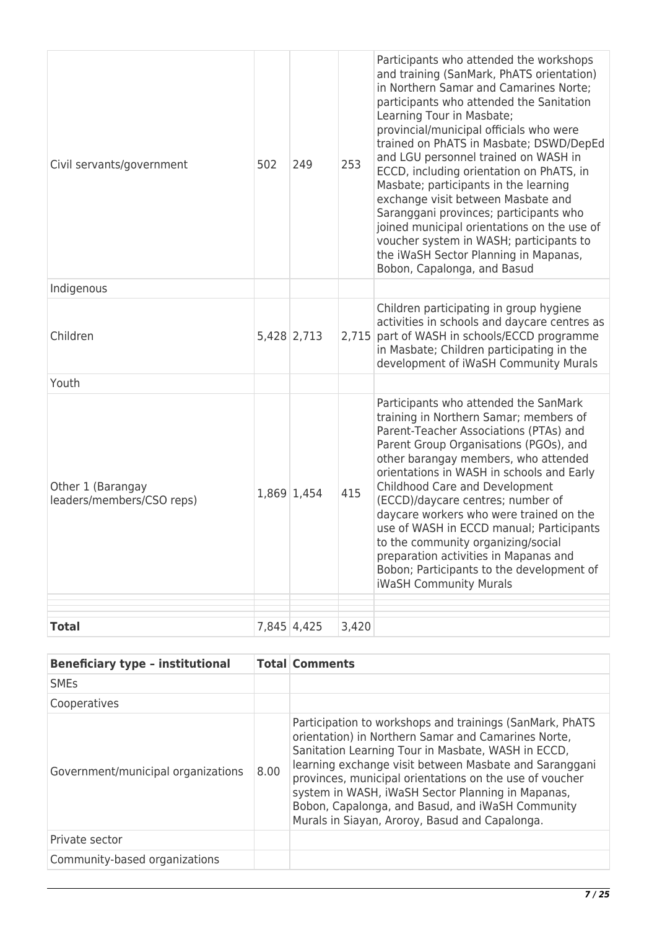| Civil servants/government                      | 502 | 249         | 253   | Participants who attended the workshops<br>and training (SanMark, PhATS orientation)<br>in Northern Samar and Camarines Norte;<br>participants who attended the Sanitation<br>Learning Tour in Masbate;<br>provincial/municipal officials who were<br>trained on PhATS in Masbate; DSWD/DepEd<br>and LGU personnel trained on WASH in<br>ECCD, including orientation on PhATS, in<br>Masbate; participants in the learning<br>exchange visit between Masbate and<br>Saranggani provinces; participants who<br>joined municipal orientations on the use of<br>voucher system in WASH; participants to<br>the iWaSH Sector Planning in Mapanas,<br>Bobon, Capalonga, and Basud |
|------------------------------------------------|-----|-------------|-------|------------------------------------------------------------------------------------------------------------------------------------------------------------------------------------------------------------------------------------------------------------------------------------------------------------------------------------------------------------------------------------------------------------------------------------------------------------------------------------------------------------------------------------------------------------------------------------------------------------------------------------------------------------------------------|
| Indigenous                                     |     |             |       |                                                                                                                                                                                                                                                                                                                                                                                                                                                                                                                                                                                                                                                                              |
| Children                                       |     | 5,428 2,713 | 2,715 | Children participating in group hygiene<br>activities in schools and daycare centres as<br>part of WASH in schools/ECCD programme<br>in Masbate; Children participating in the<br>development of iWaSH Community Murals                                                                                                                                                                                                                                                                                                                                                                                                                                                      |
| Youth                                          |     |             |       |                                                                                                                                                                                                                                                                                                                                                                                                                                                                                                                                                                                                                                                                              |
| Other 1 (Barangay<br>leaders/members/CSO reps) |     | 1,869 1,454 | 415   | Participants who attended the SanMark<br>training in Northern Samar; members of<br>Parent-Teacher Associations (PTAs) and<br>Parent Group Organisations (PGOs), and<br>other barangay members, who attended<br>orientations in WASH in schools and Early<br>Childhood Care and Development<br>(ECCD)/daycare centres; number of<br>daycare workers who were trained on the<br>use of WASH in ECCD manual; Participants<br>to the community organizing/social<br>preparation activities in Mapanas and<br>Bobon; Participants to the development of<br><b>iWaSH Community Murals</b>                                                                                          |
| <b>Total</b>                                   |     | 7,845 4,425 | 3,420 |                                                                                                                                                                                                                                                                                                                                                                                                                                                                                                                                                                                                                                                                              |

| <b>Beneficiary type - institutional</b> |      | <b>Total Comments</b>                                                                                                                                                                                                                                                                                                                                                                                                                                 |
|-----------------------------------------|------|-------------------------------------------------------------------------------------------------------------------------------------------------------------------------------------------------------------------------------------------------------------------------------------------------------------------------------------------------------------------------------------------------------------------------------------------------------|
| <b>SME<sub>s</sub></b>                  |      |                                                                                                                                                                                                                                                                                                                                                                                                                                                       |
| Cooperatives                            |      |                                                                                                                                                                                                                                                                                                                                                                                                                                                       |
| Government/municipal organizations      | 8.00 | Participation to workshops and trainings (SanMark, PhATS<br>orientation) in Northern Samar and Camarines Norte,<br>Sanitation Learning Tour in Masbate, WASH in ECCD,<br>learning exchange visit between Masbate and Saranggani<br>provinces, municipal orientations on the use of voucher<br>system in WASH, iWaSH Sector Planning in Mapanas,<br>Bobon, Capalonga, and Basud, and iWaSH Community<br>Murals in Siayan, Aroroy, Basud and Capalonga. |
| Private sector                          |      |                                                                                                                                                                                                                                                                                                                                                                                                                                                       |
| Community-based organizations           |      |                                                                                                                                                                                                                                                                                                                                                                                                                                                       |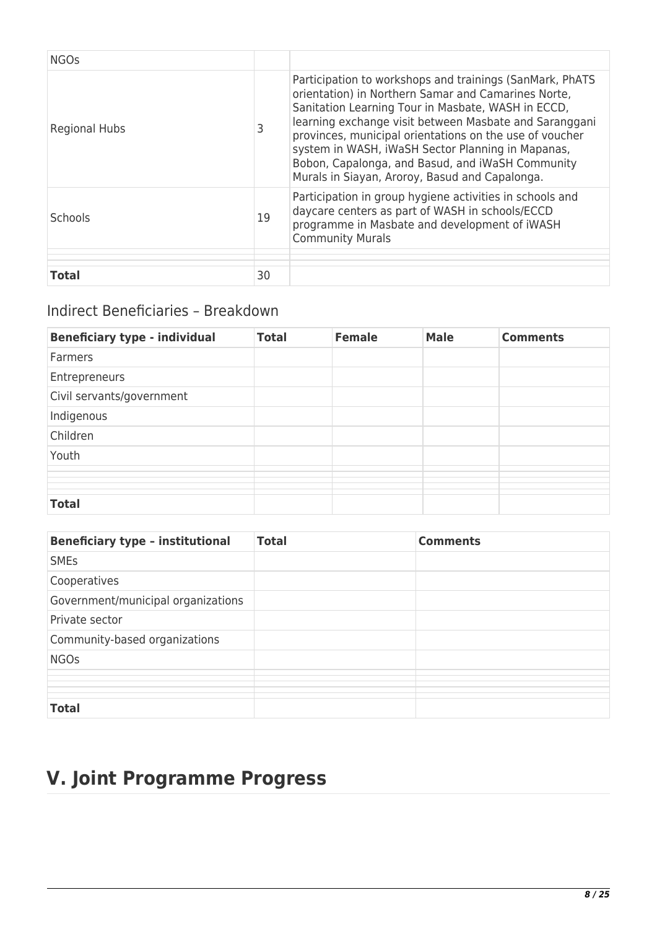| <b>NGOs</b>          |    |                                                                                                                                                                                                                                                                                                                                                                                                                                                       |
|----------------------|----|-------------------------------------------------------------------------------------------------------------------------------------------------------------------------------------------------------------------------------------------------------------------------------------------------------------------------------------------------------------------------------------------------------------------------------------------------------|
| <b>Regional Hubs</b> |    | Participation to workshops and trainings (SanMark, PhATS<br>orientation) in Northern Samar and Camarines Norte,<br>Sanitation Learning Tour in Masbate, WASH in ECCD,<br>learning exchange visit between Masbate and Saranggani<br>provinces, municipal orientations on the use of voucher<br>system in WASH, iWaSH Sector Planning in Mapanas,<br>Bobon, Capalonga, and Basud, and iWaSH Community<br>Murals in Siayan, Aroroy, Basud and Capalonga. |
| <b>Schools</b>       | 19 | Participation in group hygiene activities in schools and<br>daycare centers as part of WASH in schools/ECCD<br>programme in Masbate and development of iWASH<br><b>Community Murals</b>                                                                                                                                                                                                                                                               |
| <b>Total</b>         | 30 |                                                                                                                                                                                                                                                                                                                                                                                                                                                       |

# Indirect Beneficiaries – Breakdown

| <b>Beneficiary type - individual</b> | <b>Total</b> | <b>Female</b> | <b>Male</b> | <b>Comments</b> |
|--------------------------------------|--------------|---------------|-------------|-----------------|
| Farmers                              |              |               |             |                 |
| Entrepreneurs                        |              |               |             |                 |
| Civil servants/government            |              |               |             |                 |
| Indigenous                           |              |               |             |                 |
| Children                             |              |               |             |                 |
| Youth                                |              |               |             |                 |
|                                      |              |               |             |                 |
|                                      |              |               |             |                 |
|                                      |              |               |             |                 |
|                                      |              |               |             |                 |
| <b>Total</b>                         |              |               |             |                 |

| <b>Beneficiary type - institutional</b> | <b>Total</b> | <b>Comments</b> |
|-----------------------------------------|--------------|-----------------|
| <b>SMEs</b>                             |              |                 |
| Cooperatives                            |              |                 |
| Government/municipal organizations      |              |                 |
| Private sector                          |              |                 |
| Community-based organizations           |              |                 |
| <b>NGOs</b>                             |              |                 |
|                                         |              |                 |
|                                         |              |                 |
| <b>Total</b>                            |              |                 |

# **V. Joint Programme Progress**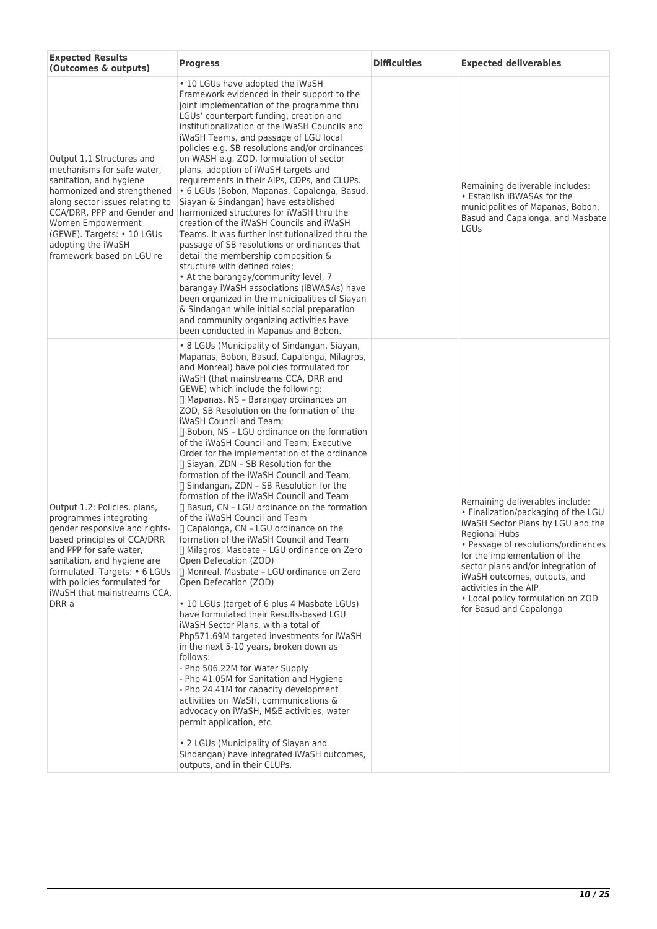| <b>Expected Results</b><br>(Outcomes & outputs)                                                                                                                                                                                                                                           | <b>Progress</b>                                                                                                                                                                                                                                                                                                                                                                                                                                                                                                                                                                                                                                                                                                                                                                                                                                                                                                                                                                                                                                                                                                                                                                                                                                                                                                                                                                                                                                                                                                                                                                                              | <b>Difficulties</b> | <b>Expected deliverables</b>                                                                                                                                                                                                                                                                                                                                               |
|-------------------------------------------------------------------------------------------------------------------------------------------------------------------------------------------------------------------------------------------------------------------------------------------|--------------------------------------------------------------------------------------------------------------------------------------------------------------------------------------------------------------------------------------------------------------------------------------------------------------------------------------------------------------------------------------------------------------------------------------------------------------------------------------------------------------------------------------------------------------------------------------------------------------------------------------------------------------------------------------------------------------------------------------------------------------------------------------------------------------------------------------------------------------------------------------------------------------------------------------------------------------------------------------------------------------------------------------------------------------------------------------------------------------------------------------------------------------------------------------------------------------------------------------------------------------------------------------------------------------------------------------------------------------------------------------------------------------------------------------------------------------------------------------------------------------------------------------------------------------------------------------------------------------|---------------------|----------------------------------------------------------------------------------------------------------------------------------------------------------------------------------------------------------------------------------------------------------------------------------------------------------------------------------------------------------------------------|
| Output 1.1 Structures and<br>mechanisms for safe water.<br>sanitation, and hygiene<br>harmonized and strengthened<br>along sector issues relating to<br>CCA/DRR, PPP and Gender and<br>Women Empowerment<br>(GEWE). Targets: • 10 LGUs<br>adopting the iWaSH<br>framework based on LGU re | • 10 LGUs have adopted the iWaSH<br>Framework evidenced in their support to the<br>joint implementation of the programme thru<br>LGUs' counterpart funding, creation and<br>institutionalization of the iWaSH Councils and<br>iWaSH Teams, and passage of LGU local<br>policies e.g. SB resolutions and/or ordinances<br>on WASH e.g. ZOD, formulation of sector<br>plans, adoption of iWaSH targets and<br>requirements in their AIPs, CDPs, and CLUPs.<br>• 6 LGUs (Bobon, Mapanas, Capalonga, Basud,<br>Siayan & Sindangan) have established<br>harmonized structures for iWaSH thru the<br>creation of the iWaSH Councils and iWaSH<br>Teams. It was further institutionalized thru the<br>passage of SB resolutions or ordinances that<br>detail the membership composition &<br>structure with defined roles;<br>• At the barangay/community level, 7<br>barangay iWaSH associations (iBWASAs) have<br>been organized in the municipalities of Siayan<br>& Sindangan while initial social preparation<br>and community organizing activities have<br>been conducted in Mapanas and Bobon.                                                                                                                                                                                                                                                                                                                                                                                                                                                                                                              |                     | Remaining deliverable includes:<br>• Establish iBWASAs for the<br>municipalities of Mapanas, Bobon,<br>Basud and Capalonga, and Masbate<br>LGUs                                                                                                                                                                                                                            |
| Output 1.2: Policies, plans,<br>programmes integrating<br>gender responsive and rights-<br>based principles of CCA/DRR<br>and PPP for safe water,<br>sanitation, and hygiene are<br>formulated. Targets: • 6 LGUs<br>with policies formulated for<br>iWaSH that mainstreams CCA,<br>DRR a | • 8 LGUs (Municipality of Sindangan, Siayan,<br>Mapanas, Bobon, Basud, Capalonga, Milagros,<br>and Monreal) have policies formulated for<br>iWaSH (that mainstreams CCA, DRR and<br>GEWE) which include the following:<br>□ Mapanas, NS - Barangay ordinances on<br>ZOD, SB Resolution on the formation of the<br>iWaSH Council and Team;<br>$\Box$ Bobon, NS - LGU ordinance on the formation<br>of the iWaSH Council and Team; Executive<br>Order for the implementation of the ordinance<br>□ Siayan, ZDN - SB Resolution for the<br>formation of the iWaSH Council and Team;<br>$\Box$ Sindangan, ZDN - SB Resolution for the<br>formation of the iWaSH Council and Team<br>□ Basud. CN - LGU ordinance on the formation<br>of the iWaSH Council and Team<br>$\Box$ Capalonga, CN - LGU ordinance on the<br>formation of the iWaSH Council and Team<br>$\Box$ Milagros, Masbate – LGU ordinance on Zero<br>Open Defecation (ZOD)<br>□ Monreal, Masbate - LGU ordinance on Zero<br>Open Defecation (ZOD)<br>• 10 LGUs (target of 6 plus 4 Masbate LGUs)<br>have formulated their Results-based LGU<br>iWaSH Sector Plans, with a total of<br>Php571.69M targeted investments for iWaSH<br>in the next 5-10 years, broken down as<br>follows:<br>- Php 506.22M for Water Supply<br>- Php 41.05M for Sanitation and Hygiene<br>- Php 24.41M for capacity development<br>activities on iWaSH, communications &<br>advocacy on iWaSH, M&E activities, water<br>permit application, etc.<br>• 2 LGUs (Municipality of Siayan and<br>Sindangan) have integrated iWaSH outcomes,<br>outputs, and in their CLUPs. |                     | Remaining deliverables include:<br>. Finalization/packaging of the LGU<br>iWaSH Sector Plans by LGU and the<br><b>Regional Hubs</b><br>• Passage of resolutions/ordinances<br>for the implementation of the<br>sector plans and/or integration of<br>iWaSH outcomes, outputs, and<br>activities in the AIP<br>• Local policy formulation on ZOD<br>for Basud and Capalonga |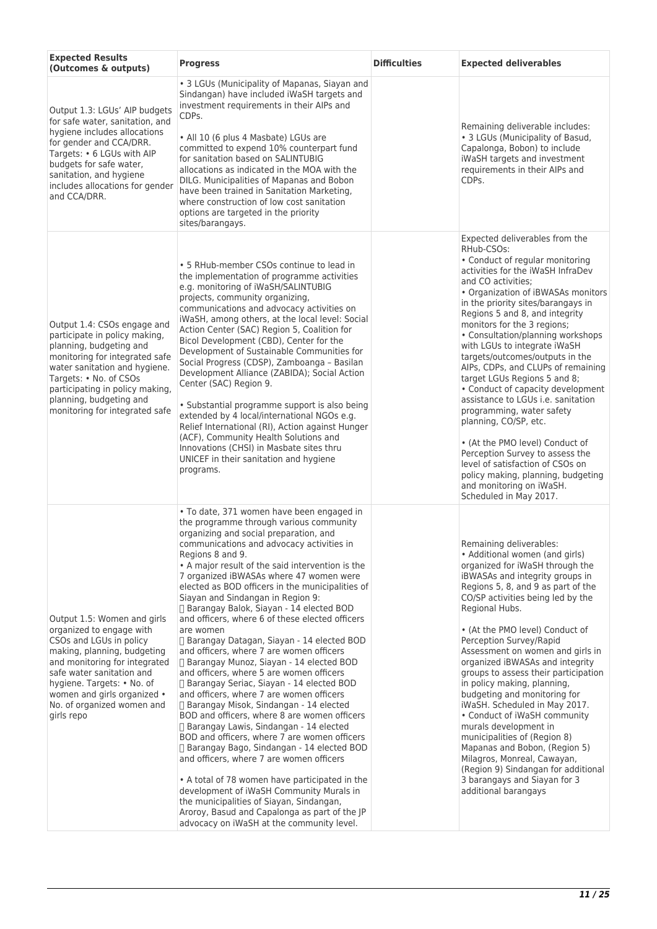| <b>Expected Results</b><br>(Outcomes & outputs)                                                                                                                                                                                                                                          | <b>Progress</b>                                                                                                                                                                                                                                                                                                                                                                                                                                                                                                                                                                                                                                                                                                                                                                                                                                                                                                                                                                                                                                                                                                                                                                                                                                                                                           | <b>Difficulties</b> | <b>Expected deliverables</b>                                                                                                                                                                                                                                                                                                                                                                                                                                                                                                                                                                                                                                                                                                                                                                                 |
|------------------------------------------------------------------------------------------------------------------------------------------------------------------------------------------------------------------------------------------------------------------------------------------|-----------------------------------------------------------------------------------------------------------------------------------------------------------------------------------------------------------------------------------------------------------------------------------------------------------------------------------------------------------------------------------------------------------------------------------------------------------------------------------------------------------------------------------------------------------------------------------------------------------------------------------------------------------------------------------------------------------------------------------------------------------------------------------------------------------------------------------------------------------------------------------------------------------------------------------------------------------------------------------------------------------------------------------------------------------------------------------------------------------------------------------------------------------------------------------------------------------------------------------------------------------------------------------------------------------|---------------------|--------------------------------------------------------------------------------------------------------------------------------------------------------------------------------------------------------------------------------------------------------------------------------------------------------------------------------------------------------------------------------------------------------------------------------------------------------------------------------------------------------------------------------------------------------------------------------------------------------------------------------------------------------------------------------------------------------------------------------------------------------------------------------------------------------------|
| Output 1.3: LGUs' AIP budgets<br>for safe water, sanitation, and<br>hygiene includes allocations<br>for gender and CCA/DRR.<br>Targets: • 6 LGUs with AIP<br>budgets for safe water,<br>sanitation, and hygiene<br>includes allocations for gender<br>and CCA/DRR.                       | • 3 LGUs (Municipality of Mapanas, Siayan and<br>Sindangan) have included iWaSH targets and<br>investment requirements in their AIPs and<br>CDPs.<br>• All 10 (6 plus 4 Masbate) LGUs are<br>committed to expend 10% counterpart fund<br>for sanitation based on SALINTUBIG<br>allocations as indicated in the MOA with the<br>DILG. Municipalities of Mapanas and Bobon<br>have been trained in Sanitation Marketing,<br>where construction of low cost sanitation<br>options are targeted in the priority<br>sites/barangays.                                                                                                                                                                                                                                                                                                                                                                                                                                                                                                                                                                                                                                                                                                                                                                           |                     | Remaining deliverable includes:<br>• 3 LGUs (Municipality of Basud,<br>Capalonga, Bobon) to include<br>iWaSH targets and investment<br>requirements in their AIPs and<br>CDPs.                                                                                                                                                                                                                                                                                                                                                                                                                                                                                                                                                                                                                               |
| Output 1.4: CSOs engage and<br>participate in policy making,<br>planning, budgeting and<br>monitoring for integrated safe<br>water sanitation and hygiene.<br>Targets: • No. of CSOs<br>participating in policy making,<br>planning, budgeting and<br>monitoring for integrated safe     | • 5 RHub-member CSOs continue to lead in<br>the implementation of programme activities<br>e.g. monitoring of iWaSH/SALINTUBIG<br>projects, community organizing,<br>communications and advocacy activities on<br>iWaSH, among others, at the local level: Social<br>Action Center (SAC) Region 5, Coalition for<br>Bicol Development (CBD), Center for the<br>Development of Sustainable Communities for<br>Social Progress (CDSP), Zamboanga - Basilan<br>Development Alliance (ZABIDA); Social Action<br>Center (SAC) Region 9.<br>• Substantial programme support is also being<br>extended by 4 local/international NGOs e.g.<br>Relief International (RI), Action against Hunger<br>(ACF), Community Health Solutions and<br>Innovations (CHSI) in Masbate sites thru<br>UNICEF in their sanitation and hygiene<br>programs.                                                                                                                                                                                                                                                                                                                                                                                                                                                                         |                     | Expected deliverables from the<br>RHub-CSOs:<br>• Conduct of regular monitoring<br>activities for the iWaSH InfraDev<br>and CO activities:<br>• Organization of iBWASAs monitors<br>in the priority sites/barangays in<br>Regions 5 and 8, and integrity<br>monitors for the 3 regions;<br>• Consultation/planning workshops<br>with LGUs to integrate iWaSH<br>targets/outcomes/outputs in the<br>AIPs, CDPs, and CLUPs of remaining<br>target LGUs Regions 5 and 8;<br>• Conduct of capacity development<br>assistance to LGUs i.e. sanitation<br>programming, water safety<br>planning, CO/SP, etc.<br>• (At the PMO level) Conduct of<br>Perception Survey to assess the<br>level of satisfaction of CSOs on<br>policy making, planning, budgeting<br>and monitoring on iWaSH.<br>Scheduled in May 2017. |
| Output 1.5: Women and girls<br>organized to engage with<br>CSOs and LGUs in policy<br>making, planning, budgeting<br>and monitoring for integrated<br>safe water sanitation and<br>hygiene. Targets: • No. of<br>women and girls organized •<br>No. of organized women and<br>girls repo | · To date, 371 women have been engaged in<br>the programme through various community<br>organizing and social preparation, and<br>communications and advocacy activities in<br>Regions 8 and 9.<br>• A major result of the said intervention is the<br>7 organized iBWASAs where 47 women were<br>elected as BOD officers in the municipalities of<br>Siayan and Sindangan in Region 9:<br>□ Barangay Balok, Siayan - 14 elected BOD<br>and officers, where 6 of these elected officers<br>are women<br>□ Barangay Datagan, Siayan - 14 elected BOD<br>and officers, where 7 are women officers<br>Barangay Munoz, Siayan - 14 elected BOD<br>and officers, where 5 are women officers<br>Barangay Seriac, Siayan - 14 elected BOD<br>and officers, where 7 are women officers<br>□ Barangay Misok, Sindangan - 14 elected<br>BOD and officers, where 8 are women officers<br>□ Barangay Lawis, Sindangan - 14 elected<br>BOD and officers, where 7 are women officers<br>□ Barangay Bago, Sindangan - 14 elected BOD<br>and officers, where 7 are women officers<br>• A total of 78 women have participated in the<br>development of iWaSH Community Murals in<br>the municipalities of Siayan, Sindangan,<br>Aroroy, Basud and Capalonga as part of the JP<br>advocacy on iWaSH at the community level. |                     | Remaining deliverables:<br>• Additional women (and girls)<br>organized for iWaSH through the<br>iBWASAs and integrity groups in<br>Regions 5, 8, and 9 as part of the<br>CO/SP activities being led by the<br>Regional Hubs.<br>• (At the PMO level) Conduct of<br>Perception Survey/Rapid<br>Assessment on women and girls in<br>organized iBWASAs and integrity<br>groups to assess their participation<br>in policy making, planning,<br>budgeting and monitoring for<br>iWaSH. Scheduled in May 2017.<br>• Conduct of iWaSH community<br>murals development in<br>municipalities of (Region 8)<br>Mapanas and Bobon, (Region 5)<br>Milagros, Monreal, Cawayan,<br>(Region 9) Sindangan for additional<br>3 barangays and Siayan for 3<br>additional barangays                                            |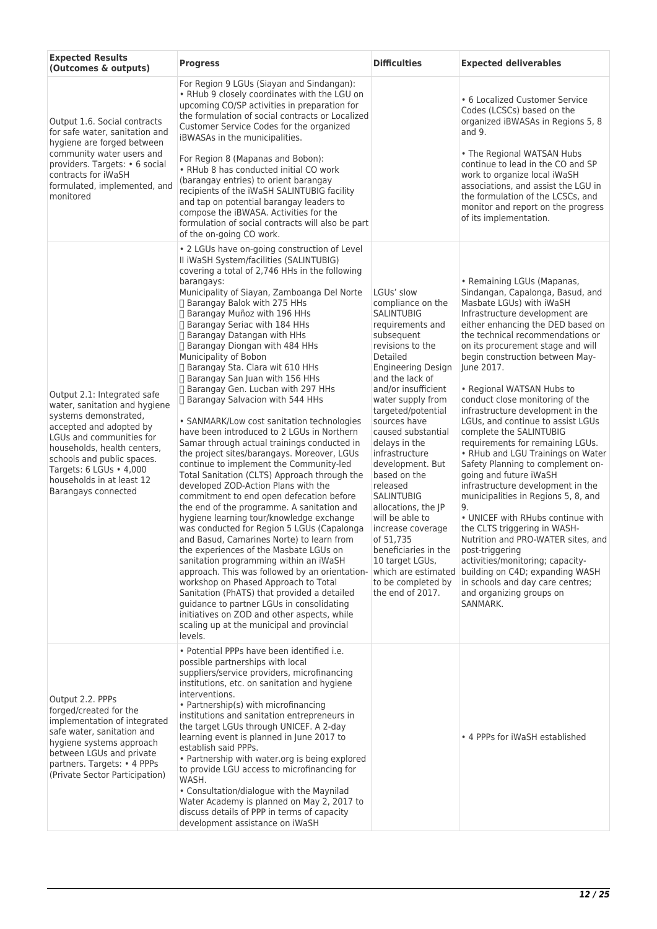| <b>Expected Results</b><br>(Outcomes & outputs)                                                                                                                                                                                                                                          | <b>Progress</b>                                                                                                                                                                                                                                                                                                                                                                                                                                                                                                                                                                                                                                                                                                                                                                                                                                                                                                                                                                                                                                                                                                                                                                                                                                                                                                                                                                                                                                                                                        | <b>Difficulties</b>                                                                                                                                                                                                                                                                                                                                                                                                                                                                                                                                     | <b>Expected deliverables</b>                                                                                                                                                                                                                                                                                                                                                                                                                                                                                                                                                                                                                                                                                                                                                                                                                                                                                                                                                                    |
|------------------------------------------------------------------------------------------------------------------------------------------------------------------------------------------------------------------------------------------------------------------------------------------|--------------------------------------------------------------------------------------------------------------------------------------------------------------------------------------------------------------------------------------------------------------------------------------------------------------------------------------------------------------------------------------------------------------------------------------------------------------------------------------------------------------------------------------------------------------------------------------------------------------------------------------------------------------------------------------------------------------------------------------------------------------------------------------------------------------------------------------------------------------------------------------------------------------------------------------------------------------------------------------------------------------------------------------------------------------------------------------------------------------------------------------------------------------------------------------------------------------------------------------------------------------------------------------------------------------------------------------------------------------------------------------------------------------------------------------------------------------------------------------------------------|---------------------------------------------------------------------------------------------------------------------------------------------------------------------------------------------------------------------------------------------------------------------------------------------------------------------------------------------------------------------------------------------------------------------------------------------------------------------------------------------------------------------------------------------------------|-------------------------------------------------------------------------------------------------------------------------------------------------------------------------------------------------------------------------------------------------------------------------------------------------------------------------------------------------------------------------------------------------------------------------------------------------------------------------------------------------------------------------------------------------------------------------------------------------------------------------------------------------------------------------------------------------------------------------------------------------------------------------------------------------------------------------------------------------------------------------------------------------------------------------------------------------------------------------------------------------|
| Output 1.6. Social contracts<br>for safe water, sanitation and<br>hygiene are forged between                                                                                                                                                                                             | For Region 9 LGUs (Siayan and Sindangan):<br>• RHub 9 closely coordinates with the LGU on<br>upcoming CO/SP activities in preparation for<br>the formulation of social contracts or Localized<br>Customer Service Codes for the organized<br>iBWASAs in the municipalities.                                                                                                                                                                                                                                                                                                                                                                                                                                                                                                                                                                                                                                                                                                                                                                                                                                                                                                                                                                                                                                                                                                                                                                                                                            |                                                                                                                                                                                                                                                                                                                                                                                                                                                                                                                                                         | • 6 Localized Customer Service<br>Codes (LCSCs) based on the<br>organized iBWASAs in Regions 5, 8<br>and $9.$                                                                                                                                                                                                                                                                                                                                                                                                                                                                                                                                                                                                                                                                                                                                                                                                                                                                                   |
| community water users and<br>providers. Targets: • 6 social<br>contracts for iWaSH<br>formulated, implemented, and<br>monitored                                                                                                                                                          | For Region 8 (Mapanas and Bobon):<br>• RHub 8 has conducted initial CO work<br>(barangay entries) to orient barangay<br>recipients of the iWaSH SALINTUBIG facility<br>and tap on potential barangay leaders to<br>compose the iBWASA. Activities for the<br>formulation of social contracts will also be part<br>of the on-going CO work.                                                                                                                                                                                                                                                                                                                                                                                                                                                                                                                                                                                                                                                                                                                                                                                                                                                                                                                                                                                                                                                                                                                                                             |                                                                                                                                                                                                                                                                                                                                                                                                                                                                                                                                                         | • The Regional WATSAN Hubs<br>continue to lead in the CO and SP<br>work to organize local iWaSH<br>associations, and assist the LGU in<br>the formulation of the LCSCs, and<br>monitor and report on the progress<br>of its implementation.                                                                                                                                                                                                                                                                                                                                                                                                                                                                                                                                                                                                                                                                                                                                                     |
| Output 2.1: Integrated safe<br>water, sanitation and hygiene<br>systems demonstrated,<br>accepted and adopted by<br>LGUs and communities for<br>households, health centers,<br>schools and public spaces.<br>Targets: 6 LGUs . 4,000<br>households in at least 12<br>Barangays connected | • 2 LGUs have on-going construction of Level<br>II iWaSH System/facilities (SALINTUBIG)<br>covering a total of 2,746 HHs in the following<br>barangays:<br>Municipality of Siayan, Zamboanga Del Norte<br>□ Barangay Balok with 275 HHs<br>Barangay Muñoz with 196 HHs<br>Barangay Seriac with 184 HHs<br>□ Barangay Datangan with HHs<br>□ Barangay Diongan with 484 HHs<br>Municipality of Bobon<br>□ Barangay Sta. Clara wit 610 HHs<br>□ Barangay San Juan with 156 HHs<br>□ Barangay Gen. Lucban with 297 HHs<br>□ Barangay Salvacion with 544 HHs<br>• SANMARK/Low cost sanitation technologies<br>have been introduced to 2 LGUs in Northern<br>Samar through actual trainings conducted in<br>the project sites/barangays. Moreover, LGUs<br>continue to implement the Community-led<br>Total Sanitation (CLTS) Approach through the<br>developed ZOD-Action Plans with the<br>commitment to end open defecation before<br>the end of the programme. A sanitation and<br>hygiene learning tour/knowledge exchange<br>was conducted for Region 5 LGUs (Capalonga<br>and Basud, Camarines Norte) to learn from<br>the experiences of the Masbate LGUs on<br>sanitation programming within an iWaSH<br>approach. This was followed by an orientation-<br>workshop on Phased Approach to Total<br>Sanitation (PhATS) that provided a detailed<br>quidance to partner LGUs in consolidating<br>initiatives on ZOD and other aspects, while<br>scaling up at the municipal and provincial<br>levels. | LGUs' slow<br>compliance on the<br><b>SALINTUBIG</b><br>requirements and<br>subsequent<br>revisions to the<br>Detailed<br><b>Engineering Design</b><br>and the lack of<br>and/or insufficient<br>water supply from<br>targeted/potential<br>sources have<br>caused substantial<br>delays in the<br>infrastructure<br>development. But<br>based on the<br>released<br><b>SALINTUBIG</b><br>allocations, the JP<br>will be able to<br>increase coverage<br>of 51,735<br>beneficiaries in the<br>10 target LGUs,<br>to be completed by<br>the end of 2017. | • Remaining LGUs (Mapanas,<br>Sindangan, Capalonga, Basud, and<br>Masbate LGUs) with iWaSH<br>Infrastructure development are<br>either enhancing the DED based on<br>the technical recommendations or<br>on its procurement stage and will<br>begin construction between May-<br>June 2017.<br>• Regional WATSAN Hubs to<br>conduct close monitoring of the<br>infrastructure development in the<br>LGUs, and continue to assist LGUs<br>complete the SALINTUBIG<br>requirements for remaining LGUs.<br>• RHub and LGU Trainings on Water<br>Safety Planning to complement on-<br>going and future iWaSH<br>infrastructure development in the<br>municipalities in Regions 5, 8, and<br>9.<br>• UNICEF with RHubs continue with<br>the CLTS triggering in WASH-<br>Nutrition and PRO-WATER sites, and<br>post-triggering<br>activities/monitoring; capacity-<br>which are estimated building on C4D; expanding WASH<br>in schools and day care centres;<br>and organizing groups on<br>SANMARK. |
| Output 2.2. PPPs<br>forged/created for the<br>implementation of integrated<br>safe water, sanitation and<br>hygiene systems approach<br>between LGUs and private<br>partners. Targets: • 4 PPPs<br>(Private Sector Participation)                                                        | · Potential PPPs have been identified i.e.<br>possible partnerships with local<br>suppliers/service providers, microfinancing<br>institutions, etc. on sanitation and hygiene<br>interventions.<br>• Partnership(s) with microfinancing<br>institutions and sanitation entrepreneurs in<br>the target LGUs through UNICEF. A 2-day<br>learning event is planned in June 2017 to<br>establish said PPPs.<br>• Partnership with water.org is being explored<br>to provide LGU access to microfinancing for<br>WASH.<br>• Consultation/dialogue with the Maynilad<br>Water Academy is planned on May 2, 2017 to<br>discuss details of PPP in terms of capacity<br>development assistance on iWaSH                                                                                                                                                                                                                                                                                                                                                                                                                                                                                                                                                                                                                                                                                                                                                                                                         |                                                                                                                                                                                                                                                                                                                                                                                                                                                                                                                                                         | • 4 PPPs for iWaSH established                                                                                                                                                                                                                                                                                                                                                                                                                                                                                                                                                                                                                                                                                                                                                                                                                                                                                                                                                                  |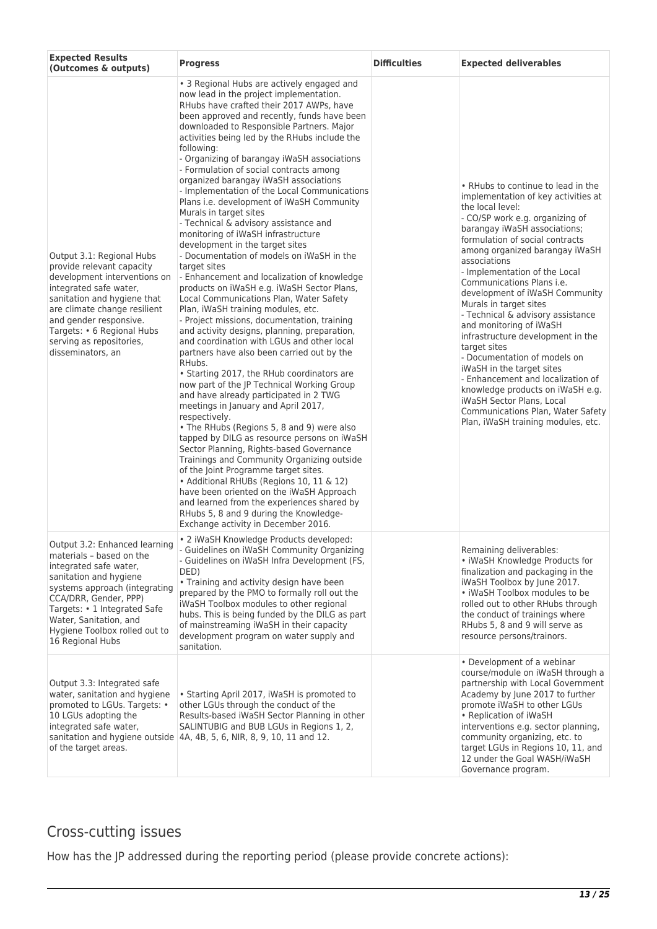| <b>Expected Results</b><br>(Outcomes & outputs)                                                                                                                                                                                                                                          | <b>Progress</b>                                                                                                                                                                                                                                                                                                                                                                                                                                                                                                                                                                                                                                                                                                                                                                                                                                                                                                                                                                                                                                                                                                                                                                                                                                                                                                                                                                                                                                                                                                                                                                                                                                                                                                                                                              | <b>Difficulties</b> | <b>Expected deliverables</b>                                                                                                                                                                                                                                                                                                                                                                                                                                                                                                                                                                                                                                                                                                                       |
|------------------------------------------------------------------------------------------------------------------------------------------------------------------------------------------------------------------------------------------------------------------------------------------|------------------------------------------------------------------------------------------------------------------------------------------------------------------------------------------------------------------------------------------------------------------------------------------------------------------------------------------------------------------------------------------------------------------------------------------------------------------------------------------------------------------------------------------------------------------------------------------------------------------------------------------------------------------------------------------------------------------------------------------------------------------------------------------------------------------------------------------------------------------------------------------------------------------------------------------------------------------------------------------------------------------------------------------------------------------------------------------------------------------------------------------------------------------------------------------------------------------------------------------------------------------------------------------------------------------------------------------------------------------------------------------------------------------------------------------------------------------------------------------------------------------------------------------------------------------------------------------------------------------------------------------------------------------------------------------------------------------------------------------------------------------------------|---------------------|----------------------------------------------------------------------------------------------------------------------------------------------------------------------------------------------------------------------------------------------------------------------------------------------------------------------------------------------------------------------------------------------------------------------------------------------------------------------------------------------------------------------------------------------------------------------------------------------------------------------------------------------------------------------------------------------------------------------------------------------------|
| Output 3.1: Regional Hubs<br>provide relevant capacity<br>development interventions on<br>integrated safe water,<br>sanitation and hygiene that<br>are climate change resilient<br>and gender responsive.<br>Targets: • 6 Regional Hubs<br>serving as repositories,<br>disseminators, an | • 3 Regional Hubs are actively engaged and<br>now lead in the project implementation.<br>RHubs have crafted their 2017 AWPs, have<br>been approved and recently, funds have been<br>downloaded to Responsible Partners. Major<br>activities being led by the RHubs include the<br>following:<br>- Organizing of barangay iWaSH associations<br>- Formulation of social contracts among<br>organized barangay iWaSH associations<br>- Implementation of the Local Communications<br>Plans i.e. development of iWaSH Community<br>Murals in target sites<br>- Technical & advisory assistance and<br>monitoring of iWaSH infrastructure<br>development in the target sites<br>- Documentation of models on iWaSH in the<br>target sites<br>- Enhancement and localization of knowledge<br>products on iWaSH e.g. iWaSH Sector Plans,<br>Local Communications Plan, Water Safety<br>Plan, iWaSH training modules, etc.<br>- Project missions, documentation, training<br>and activity designs, planning, preparation,<br>and coordination with LGUs and other local<br>partners have also been carried out by the<br>RHubs.<br>• Starting 2017, the RHub coordinators are<br>now part of the JP Technical Working Group<br>and have already participated in 2 TWG<br>meetings in January and April 2017,<br>respectively.<br>• The RHubs (Regions 5, 8 and 9) were also<br>tapped by DILG as resource persons on iWaSH<br>Sector Planning, Rights-based Governance<br>Trainings and Community Organizing outside<br>of the Joint Programme target sites.<br>• Additional RHUBs (Regions 10, 11 & 12)<br>have been oriented on the iWaSH Approach<br>and learned from the experiences shared by<br>RHubs 5, 8 and 9 during the Knowledge-<br>Exchange activity in December 2016. |                     | • RHubs to continue to lead in the<br>implementation of key activities at<br>the local level:<br>- CO/SP work e.g. organizing of<br>barangay iWaSH associations;<br>formulation of social contracts<br>among organized barangay iWaSH<br>associations<br>- Implementation of the Local<br>Communications Plans i.e.<br>development of iWaSH Community<br>Murals in target sites<br>- Technical & advisory assistance<br>and monitoring of iWaSH<br>infrastructure development in the<br>target sites<br>- Documentation of models on<br>iWaSH in the target sites<br>- Enhancement and localization of<br>knowledge products on iWaSH e.g.<br>iWaSH Sector Plans, Local<br>Communications Plan, Water Safety<br>Plan, iWaSH training modules, etc. |
| Output 3.2: Enhanced learning<br>materials - based on the<br>integrated safe water,<br>sanitation and hygiene<br>systems approach (integrating<br>CCA/DRR, Gender, PPP)<br>Targets: • 1 Integrated Safe<br>Water, Sanitation, and<br>Hygiene Toolbox rolled out to<br>16 Regional Hubs   | • 2 iWaSH Knowledge Products developed:<br>- Guidelines on iWaSH Community Organizing<br>- Guidelines on iWaSH Infra Development (FS,<br>DED)<br>• Training and activity design have been<br>prepared by the PMO to formally roll out the<br>iWaSH Toolbox modules to other regional<br>hubs. This is being funded by the DILG as part<br>of mainstreaming iWaSH in their capacity<br>development program on water supply and<br>sanitation.                                                                                                                                                                                                                                                                                                                                                                                                                                                                                                                                                                                                                                                                                                                                                                                                                                                                                                                                                                                                                                                                                                                                                                                                                                                                                                                                 |                     | Remaining deliverables:<br>• iWaSH Knowledge Products for<br>finalization and packaging in the<br>iWaSH Toolbox by June 2017.<br>• iWaSH Toolbox modules to be<br>rolled out to other RHubs through<br>the conduct of trainings where<br>RHubs 5, 8 and 9 will serve as<br>resource persons/trainors.                                                                                                                                                                                                                                                                                                                                                                                                                                              |
| Output 3.3: Integrated safe<br>water, sanitation and hygiene<br>promoted to LGUs. Targets: •<br>10 LGUs adopting the<br>integrated safe water,<br>of the target areas.                                                                                                                   | • Starting April 2017, iWaSH is promoted to<br>other LGUs through the conduct of the<br>Results-based iWaSH Sector Planning in other<br>SALINTUBIG and BUB LGUs in Regions 1, 2,<br>sanitation and hygiene outside 4A, 4B, 5, 6, NIR, 8, 9, 10, 11 and 12.                                                                                                                                                                                                                                                                                                                                                                                                                                                                                                                                                                                                                                                                                                                                                                                                                                                                                                                                                                                                                                                                                                                                                                                                                                                                                                                                                                                                                                                                                                                   |                     | • Development of a webinar<br>course/module on iWaSH through a<br>partnership with Local Government<br>Academy by June 2017 to further<br>promote iWaSH to other LGUs<br>• Replication of iWaSH<br>interventions e.g. sector planning,<br>community organizing, etc. to<br>target LGUs in Regions 10, 11, and<br>12 under the Goal WASH/iWaSH<br>Governance program.                                                                                                                                                                                                                                                                                                                                                                               |

# Cross-cutting issues

How has the JP addressed during the reporting period (please provide concrete actions):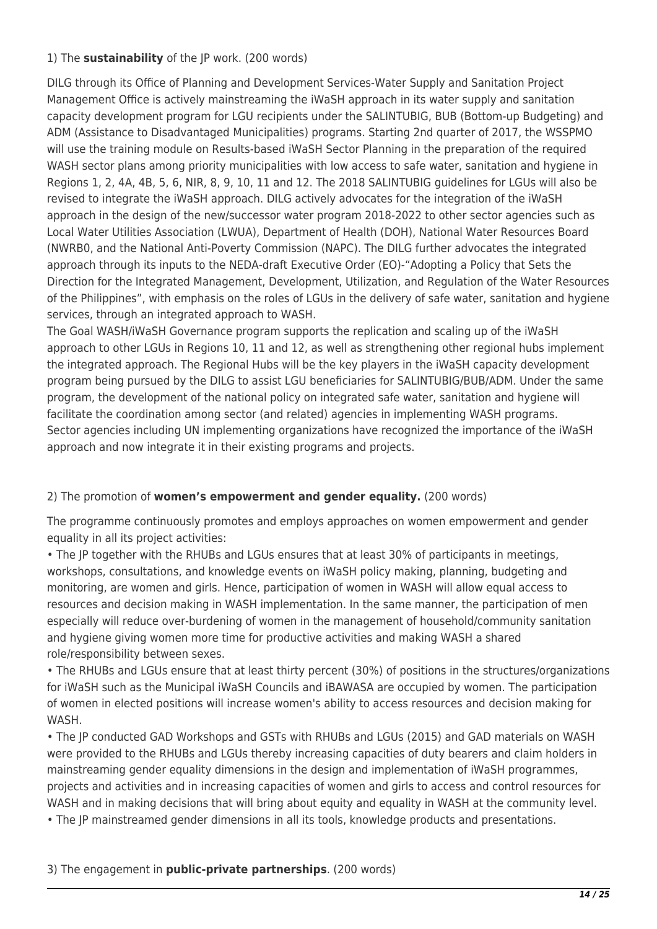### 1) The **sustainability** of the JP work. (200 words)

DILG through its Office of Planning and Development Services-Water Supply and Sanitation Project Management Office is actively mainstreaming the iWaSH approach in its water supply and sanitation capacity development program for LGU recipients under the SALINTUBIG, BUB (Bottom-up Budgeting) and ADM (Assistance to Disadvantaged Municipalities) programs. Starting 2nd quarter of 2017, the WSSPMO will use the training module on Results-based iWaSH Sector Planning in the preparation of the required WASH sector plans among priority municipalities with low access to safe water, sanitation and hygiene in Regions 1, 2, 4A, 4B, 5, 6, NIR, 8, 9, 10, 11 and 12. The 2018 SALINTUBIG guidelines for LGUs will also be revised to integrate the iWaSH approach. DILG actively advocates for the integration of the iWaSH approach in the design of the new/successor water program 2018-2022 to other sector agencies such as Local Water Utilities Association (LWUA), Department of Health (DOH), National Water Resources Board (NWRB0, and the National Anti-Poverty Commission (NAPC). The DILG further advocates the integrated approach through its inputs to the NEDA-draft Executive Order (EO)-"Adopting a Policy that Sets the Direction for the Integrated Management, Development, Utilization, and Regulation of the Water Resources of the Philippines", with emphasis on the roles of LGUs in the delivery of safe water, sanitation and hygiene services, through an integrated approach to WASH.

The Goal WASH/iWaSH Governance program supports the replication and scaling up of the iWaSH approach to other LGUs in Regions 10, 11 and 12, as well as strengthening other regional hubs implement the integrated approach. The Regional Hubs will be the key players in the iWaSH capacity development program being pursued by the DILG to assist LGU beneficiaries for SALINTUBIG/BUB/ADM. Under the same program, the development of the national policy on integrated safe water, sanitation and hygiene will facilitate the coordination among sector (and related) agencies in implementing WASH programs. Sector agencies including UN implementing organizations have recognized the importance of the iWaSH approach and now integrate it in their existing programs and projects.

### 2) The promotion of **women's empowerment and gender equality.** (200 words)

The programme continuously promotes and employs approaches on women empowerment and gender equality in all its project activities:

• The JP together with the RHUBs and LGUs ensures that at least 30% of participants in meetings, workshops, consultations, and knowledge events on iWaSH policy making, planning, budgeting and monitoring, are women and girls. Hence, participation of women in WASH will allow equal access to resources and decision making in WASH implementation. In the same manner, the participation of men especially will reduce over-burdening of women in the management of household/community sanitation and hygiene giving women more time for productive activities and making WASH a shared role/responsibility between sexes.

• The RHUBs and LGUs ensure that at least thirty percent (30%) of positions in the structures/organizations for iWaSH such as the Municipal iWaSH Councils and iBAWASA are occupied by women. The participation of women in elected positions will increase women's ability to access resources and decision making for WASH.

• The JP conducted GAD Workshops and GSTs with RHUBs and LGUs (2015) and GAD materials on WASH were provided to the RHUBs and LGUs thereby increasing capacities of duty bearers and claim holders in mainstreaming gender equality dimensions in the design and implementation of iWaSH programmes, projects and activities and in increasing capacities of women and girls to access and control resources for WASH and in making decisions that will bring about equity and equality in WASH at the community level.

• The JP mainstreamed gender dimensions in all its tools, knowledge products and presentations.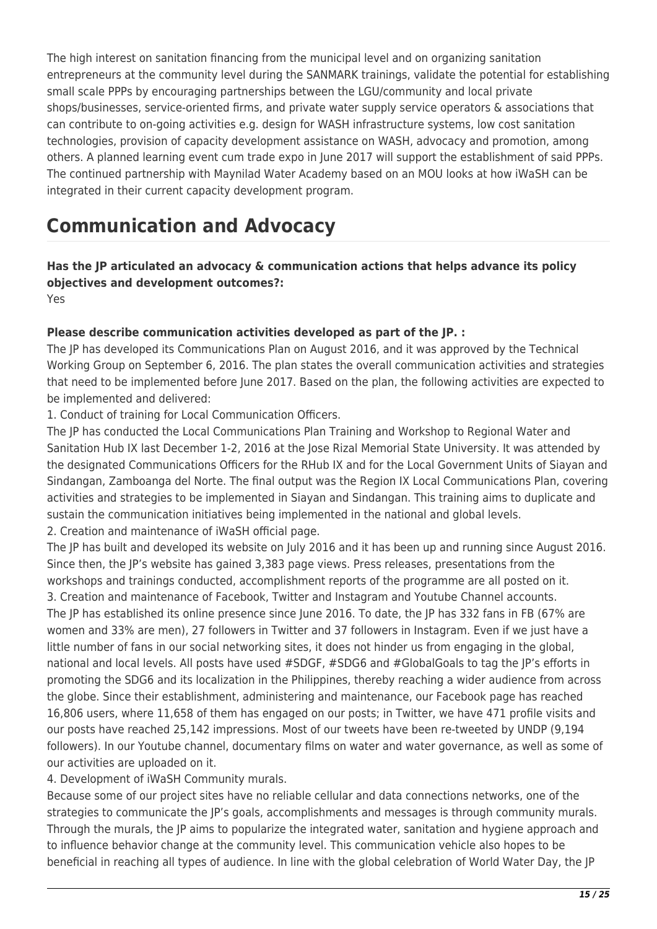The high interest on sanitation financing from the municipal level and on organizing sanitation entrepreneurs at the community level during the SANMARK trainings, validate the potential for establishing small scale PPPs by encouraging partnerships between the LGU/community and local private shops/businesses, service-oriented firms, and private water supply service operators & associations that can contribute to on-going activities e.g. design for WASH infrastructure systems, low cost sanitation technologies, provision of capacity development assistance on WASH, advocacy and promotion, among others. A planned learning event cum trade expo in June 2017 will support the establishment of said PPPs. The continued partnership with Maynilad Water Academy based on an MOU looks at how iWaSH can be integrated in their current capacity development program.

# **Communication and Advocacy**

# **Has the JP articulated an advocacy & communication actions that helps advance its policy objectives and development outcomes?:**

Yes

### **Please describe communication activities developed as part of the JP. :**

The JP has developed its Communications Plan on August 2016, and it was approved by the Technical Working Group on September 6, 2016. The plan states the overall communication activities and strategies that need to be implemented before June 2017. Based on the plan, the following activities are expected to be implemented and delivered:

1. Conduct of training for Local Communication Officers.

The JP has conducted the Local Communications Plan Training and Workshop to Regional Water and Sanitation Hub IX last December 1-2, 2016 at the Jose Rizal Memorial State University. It was attended by the designated Communications Officers for the RHub IX and for the Local Government Units of Siayan and Sindangan, Zamboanga del Norte. The final output was the Region IX Local Communications Plan, covering activities and strategies to be implemented in Siayan and Sindangan. This training aims to duplicate and sustain the communication initiatives being implemented in the national and global levels.

2. Creation and maintenance of iWaSH official page.

The JP has built and developed its website on July 2016 and it has been up and running since August 2016. Since then, the JP's website has gained 3,383 page views. Press releases, presentations from the workshops and trainings conducted, accomplishment reports of the programme are all posted on it. 3. Creation and maintenance of Facebook, Twitter and Instagram and Youtube Channel accounts. The JP has established its online presence since June 2016. To date, the JP has 332 fans in FB (67% are women and 33% are men), 27 followers in Twitter and 37 followers in Instagram. Even if we just have a little number of fans in our social networking sites, it does not hinder us from engaging in the global, national and local levels. All posts have used #SDGF, #SDG6 and #GlobalGoals to tag the JP's efforts in promoting the SDG6 and its localization in the Philippines, thereby reaching a wider audience from across the globe. Since their establishment, administering and maintenance, our Facebook page has reached 16,806 users, where 11,658 of them has engaged on our posts; in Twitter, we have 471 profile visits and our posts have reached 25,142 impressions. Most of our tweets have been re-tweeted by UNDP (9,194 followers). In our Youtube channel, documentary films on water and water governance, as well as some of our activities are uploaded on it.

4. Development of iWaSH Community murals.

Because some of our project sites have no reliable cellular and data connections networks, one of the strategies to communicate the JP's goals, accomplishments and messages is through community murals. Through the murals, the JP aims to popularize the integrated water, sanitation and hygiene approach and to influence behavior change at the community level. This communication vehicle also hopes to be beneficial in reaching all types of audience. In line with the global celebration of World Water Day, the JP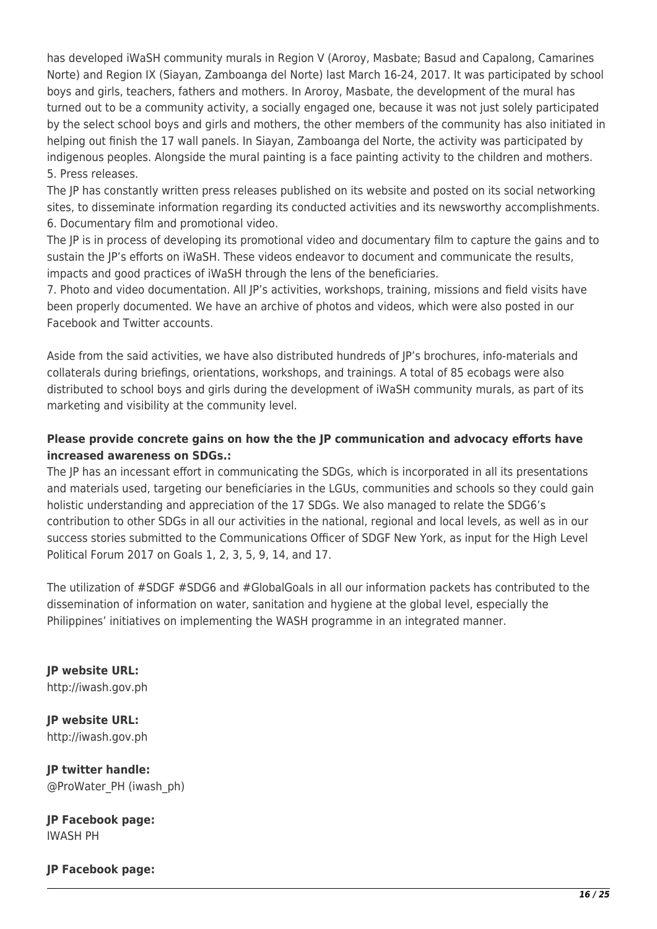has developed iWaSH community murals in Region V (Aroroy, Masbate; Basud and Capalong, Camarines Norte) and Region IX (Siayan, Zamboanga del Norte) last March 16-24, 2017. It was participated by school boys and girls, teachers, fathers and mothers. In Aroroy, Masbate, the development of the mural has turned out to be a community activity, a socially engaged one, because it was not just solely participated by the select school boys and girls and mothers, the other members of the community has also initiated in helping out finish the 17 wall panels. In Siayan, Zamboanga del Norte, the activity was participated by indigenous peoples. Alongside the mural painting is a face painting activity to the children and mothers. 5. Press releases.

The JP has constantly written press releases published on its website and posted on its social networking sites, to disseminate information regarding its conducted activities and its newsworthy accomplishments. 6. Documentary film and promotional video.

The JP is in process of developing its promotional video and documentary film to capture the gains and to sustain the JP's efforts on iWaSH. These videos endeavor to document and communicate the results, impacts and good practices of iWaSH through the lens of the beneficiaries.

7. Photo and video documentation. All JP's activities, workshops, training, missions and field visits have been properly documented. We have an archive of photos and videos, which were also posted in our Facebook and Twitter accounts.

Aside from the said activities, we have also distributed hundreds of JP's brochures, info-materials and collaterals during briefings, orientations, workshops, and trainings. A total of 85 ecobags were also distributed to school boys and girls during the development of iWaSH community murals, as part of its marketing and visibility at the community level.

### **Please provide concrete gains on how the the JP communication and advocacy efforts have increased awareness on SDGs.:**

The JP has an incessant effort in communicating the SDGs, which is incorporated in all its presentations and materials used, targeting our beneficiaries in the LGUs, communities and schools so they could gain holistic understanding and appreciation of the 17 SDGs. We also managed to relate the SDG6's contribution to other SDGs in all our activities in the national, regional and local levels, as well as in our success stories submitted to the Communications Officer of SDGF New York, as input for the High Level Political Forum 2017 on Goals 1, 2, 3, 5, 9, 14, and 17.

The utilization of #SDGF #SDG6 and #GlobalGoals in all our information packets has contributed to the dissemination of information on water, sanitation and hygiene at the global level, especially the Philippines' initiatives on implementing the WASH programme in an integrated manner.

**JP website URL:**  http://iwash.gov.ph

**JP website URL:**  http://iwash.gov.ph

**JP twitter handle:**  @ProWater\_PH (iwash\_ph)

**JP Facebook page:**  IWASH PH

**JP Facebook page:**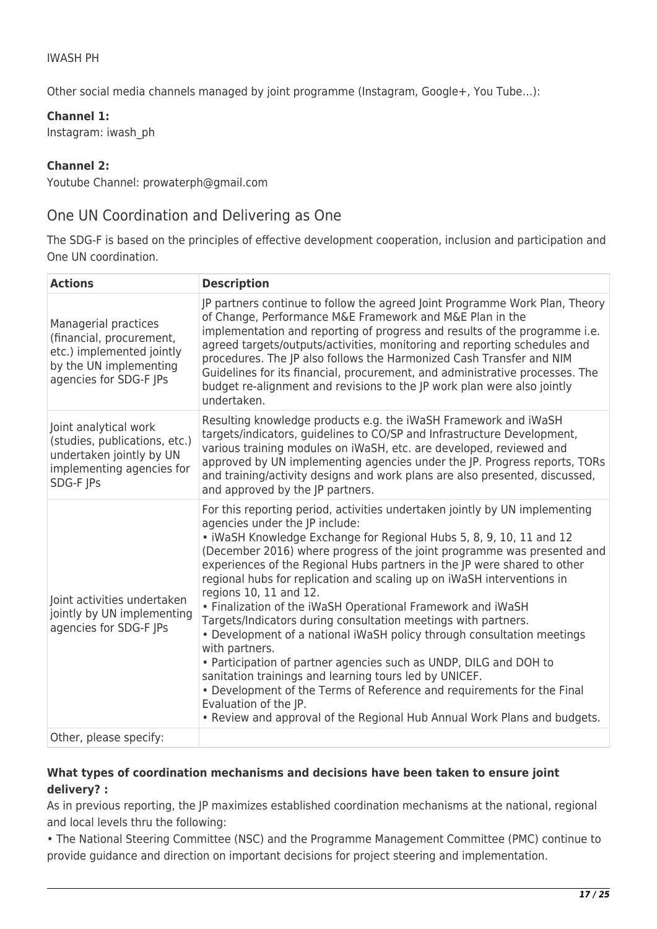### IWASH PH

Other social media channels managed by joint programme (Instagram, Google+, You Tube…):

**Channel 1:** 

Instagram: iwash\_ph

### **Channel 2:**

Youtube Channel: prowaterph@gmail.com

## One UN Coordination and Delivering as One

The SDG-F is based on the principles of effective development cooperation, inclusion and participation and One UN coordination.

| <b>Actions</b>                                                                                                                    | <b>Description</b>                                                                                                                                                                                                                                                                                                                                                                                                                                                                                                                                                                                                                                                                                                                                                                                                                                                                                                                                                                         |
|-----------------------------------------------------------------------------------------------------------------------------------|--------------------------------------------------------------------------------------------------------------------------------------------------------------------------------------------------------------------------------------------------------------------------------------------------------------------------------------------------------------------------------------------------------------------------------------------------------------------------------------------------------------------------------------------------------------------------------------------------------------------------------------------------------------------------------------------------------------------------------------------------------------------------------------------------------------------------------------------------------------------------------------------------------------------------------------------------------------------------------------------|
| Managerial practices<br>(financial, procurement,<br>etc.) implemented jointly<br>by the UN implementing<br>agencies for SDG-F JPs | JP partners continue to follow the agreed Joint Programme Work Plan, Theory<br>of Change, Performance M&E Framework and M&E Plan in the<br>implementation and reporting of progress and results of the programme i.e.<br>agreed targets/outputs/activities, monitoring and reporting schedules and<br>procedures. The JP also follows the Harmonized Cash Transfer and NIM<br>Guidelines for its financial, procurement, and administrative processes. The<br>budget re-alignment and revisions to the JP work plan were also jointly<br>undertaken.                                                                                                                                                                                                                                                                                                                                                                                                                                       |
| Joint analytical work<br>(studies, publications, etc.)<br>undertaken jointly by UN<br>implementing agencies for<br>SDG-F JPs      | Resulting knowledge products e.g. the iWaSH Framework and iWaSH<br>targets/indicators, guidelines to CO/SP and Infrastructure Development,<br>various training modules on iWaSH, etc. are developed, reviewed and<br>approved by UN implementing agencies under the JP. Progress reports, TORs<br>and training/activity designs and work plans are also presented, discussed,<br>and approved by the JP partners.                                                                                                                                                                                                                                                                                                                                                                                                                                                                                                                                                                          |
| Joint activities undertaken<br>jointly by UN implementing<br>agencies for SDG-F JPs                                               | For this reporting period, activities undertaken jointly by UN implementing<br>agencies under the JP include:<br>. iWaSH Knowledge Exchange for Regional Hubs 5, 8, 9, 10, 11 and 12<br>(December 2016) where progress of the joint programme was presented and<br>experiences of the Regional Hubs partners in the JP were shared to other<br>regional hubs for replication and scaling up on iWaSH interventions in<br>regions 10, 11 and 12.<br>• Finalization of the iWaSH Operational Framework and iWaSH<br>Targets/Indicators during consultation meetings with partners.<br>• Development of a national iWaSH policy through consultation meetings<br>with partners.<br>• Participation of partner agencies such as UNDP, DILG and DOH to<br>sanitation trainings and learning tours led by UNICEF.<br>• Development of the Terms of Reference and requirements for the Final<br>Evaluation of the JP.<br>• Review and approval of the Regional Hub Annual Work Plans and budgets. |
| Other, please specify:                                                                                                            |                                                                                                                                                                                                                                                                                                                                                                                                                                                                                                                                                                                                                                                                                                                                                                                                                                                                                                                                                                                            |

### **What types of coordination mechanisms and decisions have been taken to ensure joint delivery? :**

As in previous reporting, the JP maximizes established coordination mechanisms at the national, regional and local levels thru the following:

• The National Steering Committee (NSC) and the Programme Management Committee (PMC) continue to provide guidance and direction on important decisions for project steering and implementation.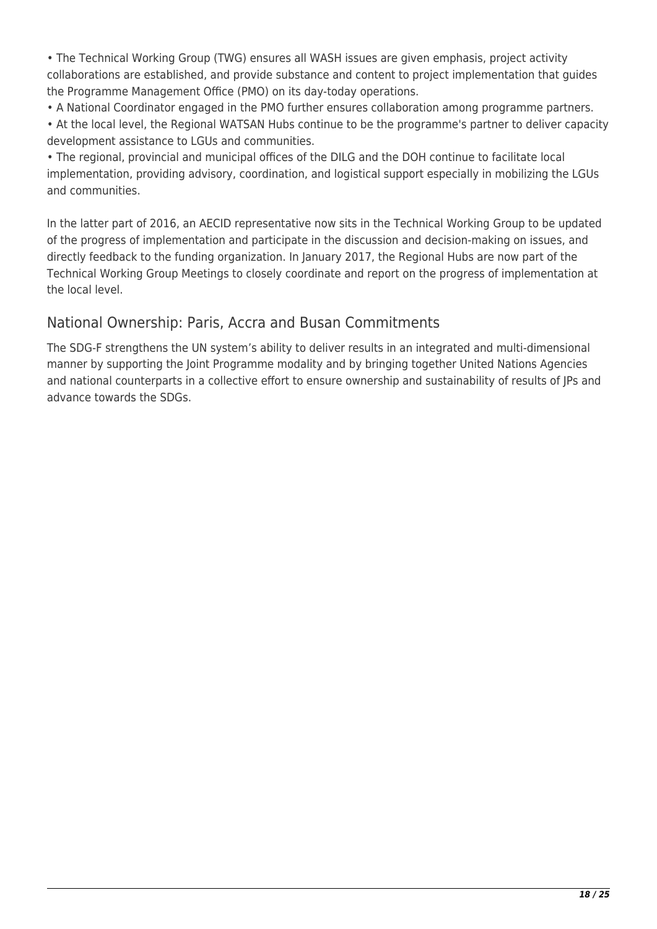• The Technical Working Group (TWG) ensures all WASH issues are given emphasis, project activity collaborations are established, and provide substance and content to project implementation that guides the Programme Management Office (PMO) on its day-today operations.

• A National Coordinator engaged in the PMO further ensures collaboration among programme partners.

• At the local level, the Regional WATSAN Hubs continue to be the programme's partner to deliver capacity development assistance to LGUs and communities.

• The regional, provincial and municipal offices of the DILG and the DOH continue to facilitate local implementation, providing advisory, coordination, and logistical support especially in mobilizing the LGUs and communities.

In the latter part of 2016, an AECID representative now sits in the Technical Working Group to be updated of the progress of implementation and participate in the discussion and decision-making on issues, and directly feedback to the funding organization. In January 2017, the Regional Hubs are now part of the Technical Working Group Meetings to closely coordinate and report on the progress of implementation at the local level.

# National Ownership: Paris, Accra and Busan Commitments

The SDG-F strengthens the UN system's ability to deliver results in an integrated and multi-dimensional manner by supporting the Joint Programme modality and by bringing together United Nations Agencies and national counterparts in a collective effort to ensure ownership and sustainability of results of JPs and advance towards the SDGs.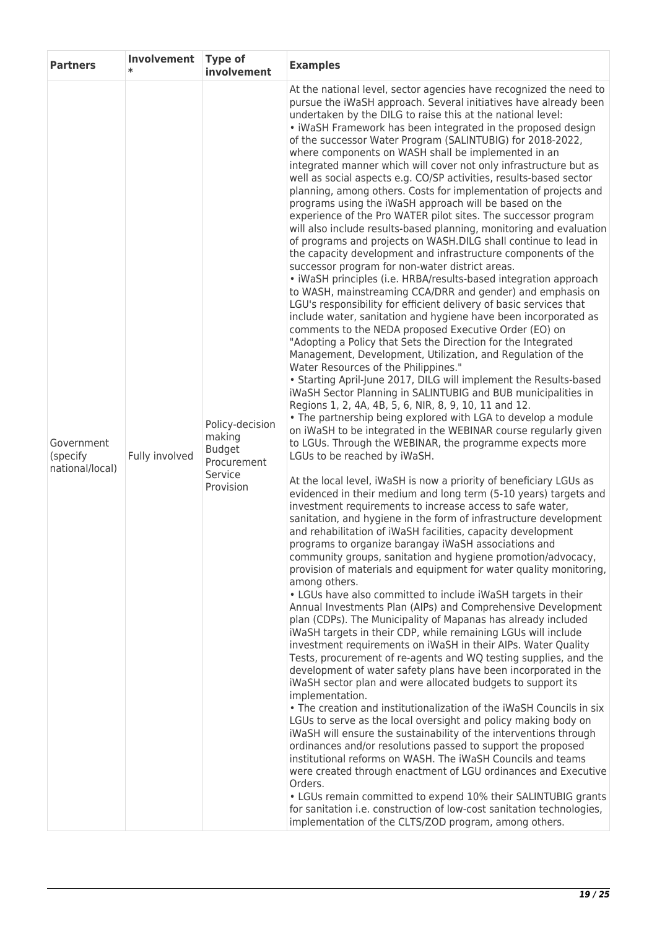| <b>Partners</b>                           | Involvement<br>$\ast$ | <b>Type of</b><br>involvement                                                     | <b>Examples</b>                                                                                                                                                                                                                                                                                                                                                                                                                                                                                                                                                                                                                                                                                                                                                                                                                                                                                                                                                                                                                                                                                                                                                                                                                                                                                                                                                                                                                                                                                                                                                                                                                                                                                                                                                                                                                                                                                                                                                                                                                                                                                                                                                                                                                                                                                                                                                                                                                                                                                                                                                                                                                                                                                                                                                                                                                                                                                                                                                                                                                                                                                                                                                                                                                                                                                                                                                                                                                                                                                                                                                                                                                                                                                     |
|-------------------------------------------|-----------------------|-----------------------------------------------------------------------------------|-----------------------------------------------------------------------------------------------------------------------------------------------------------------------------------------------------------------------------------------------------------------------------------------------------------------------------------------------------------------------------------------------------------------------------------------------------------------------------------------------------------------------------------------------------------------------------------------------------------------------------------------------------------------------------------------------------------------------------------------------------------------------------------------------------------------------------------------------------------------------------------------------------------------------------------------------------------------------------------------------------------------------------------------------------------------------------------------------------------------------------------------------------------------------------------------------------------------------------------------------------------------------------------------------------------------------------------------------------------------------------------------------------------------------------------------------------------------------------------------------------------------------------------------------------------------------------------------------------------------------------------------------------------------------------------------------------------------------------------------------------------------------------------------------------------------------------------------------------------------------------------------------------------------------------------------------------------------------------------------------------------------------------------------------------------------------------------------------------------------------------------------------------------------------------------------------------------------------------------------------------------------------------------------------------------------------------------------------------------------------------------------------------------------------------------------------------------------------------------------------------------------------------------------------------------------------------------------------------------------------------------------------------------------------------------------------------------------------------------------------------------------------------------------------------------------------------------------------------------------------------------------------------------------------------------------------------------------------------------------------------------------------------------------------------------------------------------------------------------------------------------------------------------------------------------------------------------------------------------------------------------------------------------------------------------------------------------------------------------------------------------------------------------------------------------------------------------------------------------------------------------------------------------------------------------------------------------------------------------------------------------------------------------------------------------------------------|
| Government<br>(specify<br>national/local) | Fully involved        | Policy-decision<br>making<br><b>Budget</b><br>Procurement<br>Service<br>Provision | At the national level, sector agencies have recognized the need to<br>pursue the iWaSH approach. Several initiatives have already been<br>undertaken by the DILG to raise this at the national level:<br>· iWaSH Framework has been integrated in the proposed design<br>of the successor Water Program (SALINTUBIG) for 2018-2022,<br>where components on WASH shall be implemented in an<br>integrated manner which will cover not only infrastructure but as<br>well as social aspects e.g. CO/SP activities, results-based sector<br>planning, among others. Costs for implementation of projects and<br>programs using the iWaSH approach will be based on the<br>experience of the Pro WATER pilot sites. The successor program<br>will also include results-based planning, monitoring and evaluation<br>of programs and projects on WASH.DILG shall continue to lead in<br>the capacity development and infrastructure components of the<br>successor program for non-water district areas.<br>· iWaSH principles (i.e. HRBA/results-based integration approach<br>to WASH, mainstreaming CCA/DRR and gender) and emphasis on<br>LGU's responsibility for efficient delivery of basic services that<br>include water, sanitation and hygiene have been incorporated as<br>comments to the NEDA proposed Executive Order (EO) on<br>"Adopting a Policy that Sets the Direction for the Integrated<br>Management, Development, Utilization, and Regulation of the<br>Water Resources of the Philippines."<br>• Starting April-June 2017, DILG will implement the Results-based<br>iWaSH Sector Planning in SALINTUBIG and BUB municipalities in<br>Regions 1, 2, 4A, 4B, 5, 6, NIR, 8, 9, 10, 11 and 12.<br>. The partnership being explored with LGA to develop a module<br>on iWaSH to be integrated in the WEBINAR course regularly given<br>to LGUs. Through the WEBINAR, the programme expects more<br>LGUs to be reached by iWaSH.<br>At the local level, iWaSH is now a priority of beneficiary LGUs as<br>evidenced in their medium and long term (5-10 years) targets and<br>investment requirements to increase access to safe water,<br>sanitation, and hygiene in the form of infrastructure development<br>and rehabilitation of iWaSH facilities, capacity development<br>programs to organize barangay iWaSH associations and<br>community groups, sanitation and hygiene promotion/advocacy,<br>provision of materials and equipment for water quality monitoring,<br>among others.<br>• LGUs have also committed to include iWaSH targets in their<br>Annual Investments Plan (AIPs) and Comprehensive Development<br>plan (CDPs). The Municipality of Mapanas has already included<br>iWaSH targets in their CDP, while remaining LGUs will include<br>investment requirements on iWaSH in their AIPs. Water Quality<br>Tests, procurement of re-agents and WQ testing supplies, and the<br>development of water safety plans have been incorporated in the<br>iWaSH sector plan and were allocated budgets to support its<br>implementation.<br>. The creation and institutionalization of the iWaSH Councils in six<br>LGUs to serve as the local oversight and policy making body on<br>iWaSH will ensure the sustainability of the interventions through<br>ordinances and/or resolutions passed to support the proposed<br>institutional reforms on WASH. The iWaSH Councils and teams<br>were created through enactment of LGU ordinances and Executive<br>Orders.<br>• LGUs remain committed to expend 10% their SALINTUBIG grants<br>for sanitation i.e. construction of low-cost sanitation technologies,<br>implementation of the CLTS/ZOD program, among others. |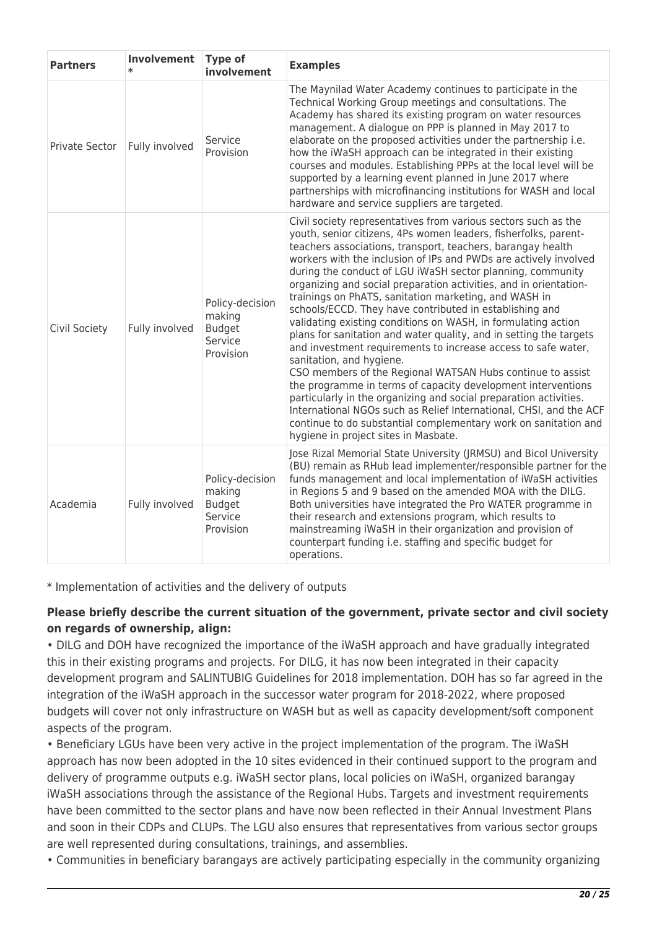| <b>Partners</b> | Involvement<br>$\ast$ | <b>Type of</b><br>involvement                                      | <b>Examples</b>                                                                                                                                                                                                                                                                                                                                                                                                                                                                                                                                                                                                                                                                                                                                                                                                                                                                                                                                                                                                                                                                                                                                     |
|-----------------|-----------------------|--------------------------------------------------------------------|-----------------------------------------------------------------------------------------------------------------------------------------------------------------------------------------------------------------------------------------------------------------------------------------------------------------------------------------------------------------------------------------------------------------------------------------------------------------------------------------------------------------------------------------------------------------------------------------------------------------------------------------------------------------------------------------------------------------------------------------------------------------------------------------------------------------------------------------------------------------------------------------------------------------------------------------------------------------------------------------------------------------------------------------------------------------------------------------------------------------------------------------------------|
| Private Sector  | Fully involved        | Service<br>Provision                                               | The Maynilad Water Academy continues to participate in the<br>Technical Working Group meetings and consultations. The<br>Academy has shared its existing program on water resources<br>management. A dialogue on PPP is planned in May 2017 to<br>elaborate on the proposed activities under the partnership i.e.<br>how the iWaSH approach can be integrated in their existing<br>courses and modules. Establishing PPPs at the local level will be<br>supported by a learning event planned in June 2017 where<br>partnerships with microfinancing institutions for WASH and local<br>hardware and service suppliers are targeted.                                                                                                                                                                                                                                                                                                                                                                                                                                                                                                                |
| Civil Society   | Fully involved        | Policy-decision<br>making<br><b>Budget</b><br>Service<br>Provision | Civil society representatives from various sectors such as the<br>youth, senior citizens, 4Ps women leaders, fisherfolks, parent-<br>teachers associations, transport, teachers, barangay health<br>workers with the inclusion of IPs and PWDs are actively involved<br>during the conduct of LGU iWaSH sector planning, community<br>organizing and social preparation activities, and in orientation-<br>trainings on PhATS, sanitation marketing, and WASH in<br>schools/ECCD. They have contributed in establishing and<br>validating existing conditions on WASH, in formulating action<br>plans for sanitation and water quality, and in setting the targets<br>and investment requirements to increase access to safe water,<br>sanitation, and hygiene.<br>CSO members of the Regional WATSAN Hubs continue to assist<br>the programme in terms of capacity development interventions<br>particularly in the organizing and social preparation activities.<br>International NGOs such as Relief International, CHSI, and the ACF<br>continue to do substantial complementary work on sanitation and<br>hygiene in project sites in Masbate. |
| Academia        | Fully involved        | Policy-decision<br>making<br><b>Budget</b><br>Service<br>Provision | Jose Rizal Memorial State University (JRMSU) and Bicol University<br>(BU) remain as RHub lead implementer/responsible partner for the<br>funds management and local implementation of iWaSH activities<br>in Regions 5 and 9 based on the amended MOA with the DILG.<br>Both universities have integrated the Pro WATER programme in<br>their research and extensions program, which results to<br>mainstreaming iWaSH in their organization and provision of<br>counterpart funding i.e. staffing and specific budget for<br>operations.                                                                                                                                                                                                                                                                                                                                                                                                                                                                                                                                                                                                           |

\* Implementation of activities and the delivery of outputs

### **Please briefly describe the current situation of the government, private sector and civil society on regards of ownership, align:**

• DILG and DOH have recognized the importance of the iWaSH approach and have gradually integrated this in their existing programs and projects. For DILG, it has now been integrated in their capacity development program and SALINTUBIG Guidelines for 2018 implementation. DOH has so far agreed in the integration of the iWaSH approach in the successor water program for 2018-2022, where proposed budgets will cover not only infrastructure on WASH but as well as capacity development/soft component aspects of the program.

• Beneficiary LGUs have been very active in the project implementation of the program. The iWaSH approach has now been adopted in the 10 sites evidenced in their continued support to the program and delivery of programme outputs e.g. iWaSH sector plans, local policies on iWaSH, organized barangay iWaSH associations through the assistance of the Regional Hubs. Targets and investment requirements have been committed to the sector plans and have now been reflected in their Annual Investment Plans and soon in their CDPs and CLUPs. The LGU also ensures that representatives from various sector groups are well represented during consultations, trainings, and assemblies.

• Communities in beneficiary barangays are actively participating especially in the community organizing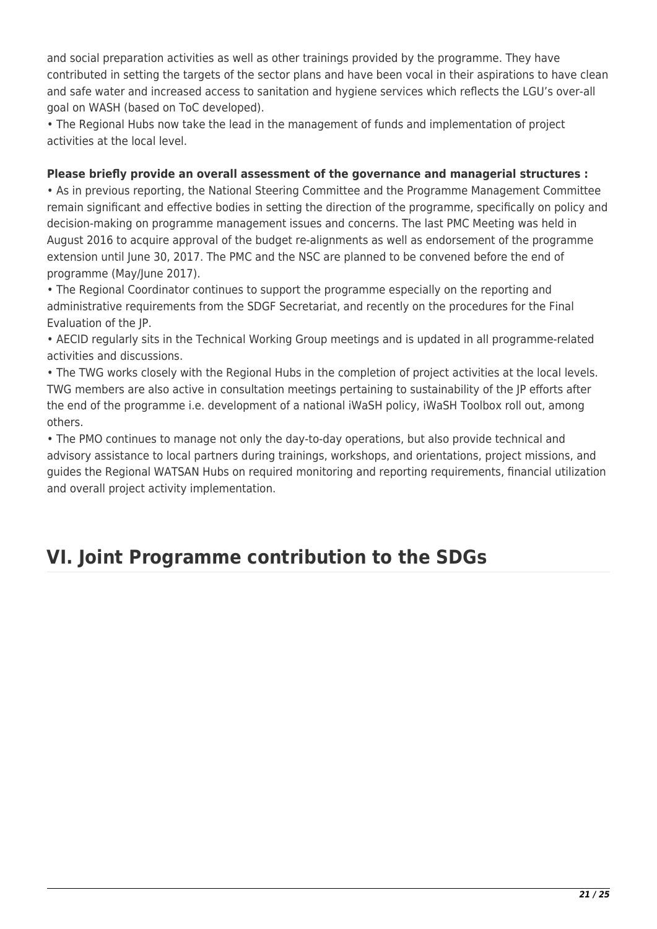and social preparation activities as well as other trainings provided by the programme. They have contributed in setting the targets of the sector plans and have been vocal in their aspirations to have clean and safe water and increased access to sanitation and hygiene services which reflects the LGU's over-all goal on WASH (based on ToC developed).

• The Regional Hubs now take the lead in the management of funds and implementation of project activities at the local level.

### **Please briefly provide an overall assessment of the governance and managerial structures :**

• As in previous reporting, the National Steering Committee and the Programme Management Committee remain significant and effective bodies in setting the direction of the programme, specifically on policy and decision-making on programme management issues and concerns. The last PMC Meeting was held in August 2016 to acquire approval of the budget re-alignments as well as endorsement of the programme extension until June 30, 2017. The PMC and the NSC are planned to be convened before the end of programme (May/June 2017).

• The Regional Coordinator continues to support the programme especially on the reporting and administrative requirements from the SDGF Secretariat, and recently on the procedures for the Final Evaluation of the JP.

• AECID regularly sits in the Technical Working Group meetings and is updated in all programme-related activities and discussions.

• The TWG works closely with the Regional Hubs in the completion of project activities at the local levels. TWG members are also active in consultation meetings pertaining to sustainability of the JP efforts after the end of the programme i.e. development of a national iWaSH policy, iWaSH Toolbox roll out, among others.

• The PMO continues to manage not only the day-to-day operations, but also provide technical and advisory assistance to local partners during trainings, workshops, and orientations, project missions, and guides the Regional WATSAN Hubs on required monitoring and reporting requirements, financial utilization and overall project activity implementation.

# **VI. Joint Programme contribution to the SDGs**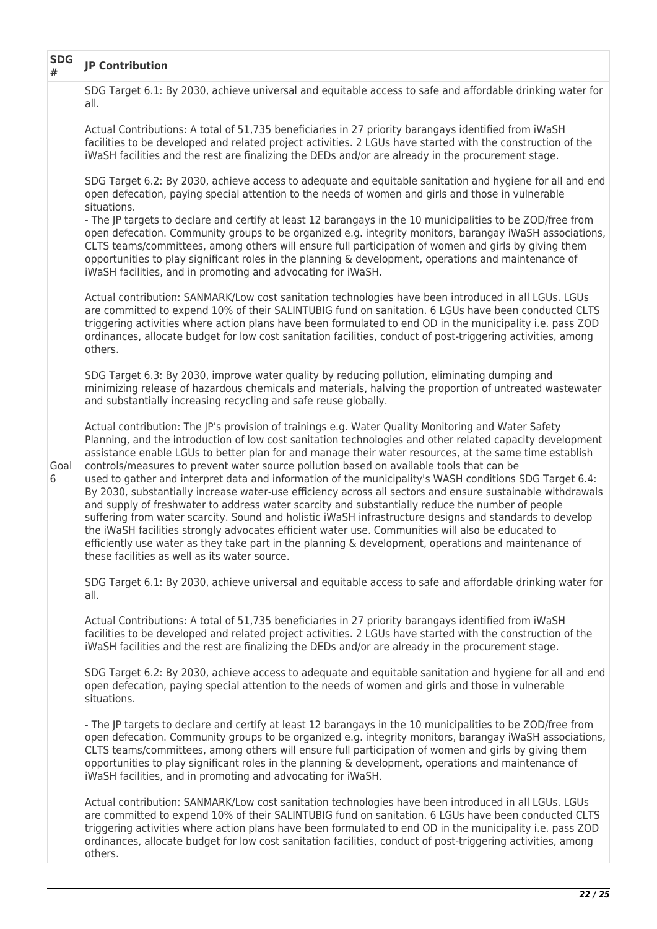| <b>SDG</b><br># | <b>JP Contribution</b>                                                                                                                                                                                                                                                                                                                                                                                                                                                                                                                                                                                                                                                                                                                                                                                                                                                                                                                                                                                                                                                                                                       |
|-----------------|------------------------------------------------------------------------------------------------------------------------------------------------------------------------------------------------------------------------------------------------------------------------------------------------------------------------------------------------------------------------------------------------------------------------------------------------------------------------------------------------------------------------------------------------------------------------------------------------------------------------------------------------------------------------------------------------------------------------------------------------------------------------------------------------------------------------------------------------------------------------------------------------------------------------------------------------------------------------------------------------------------------------------------------------------------------------------------------------------------------------------|
|                 | SDG Target 6.1: By 2030, achieve universal and equitable access to safe and affordable drinking water for<br>all.                                                                                                                                                                                                                                                                                                                                                                                                                                                                                                                                                                                                                                                                                                                                                                                                                                                                                                                                                                                                            |
|                 | Actual Contributions: A total of 51,735 beneficiaries in 27 priority barangays identified from iWaSH<br>facilities to be developed and related project activities. 2 LGUs have started with the construction of the<br>iWaSH facilities and the rest are finalizing the DEDs and/or are already in the procurement stage.                                                                                                                                                                                                                                                                                                                                                                                                                                                                                                                                                                                                                                                                                                                                                                                                    |
|                 | SDG Target 6.2: By 2030, achieve access to adequate and equitable sanitation and hygiene for all and end<br>open defecation, paying special attention to the needs of women and girls and those in vulnerable<br>situations.                                                                                                                                                                                                                                                                                                                                                                                                                                                                                                                                                                                                                                                                                                                                                                                                                                                                                                 |
|                 | - The JP targets to declare and certify at least 12 barangays in the 10 municipalities to be ZOD/free from<br>open defecation. Community groups to be organized e.g. integrity monitors, barangay iWaSH associations,<br>CLTS teams/committees, among others will ensure full participation of women and girls by giving them<br>opportunities to play significant roles in the planning & development, operations and maintenance of<br>iWaSH facilities, and in promoting and advocating for iWaSH.                                                                                                                                                                                                                                                                                                                                                                                                                                                                                                                                                                                                                        |
|                 | Actual contribution: SANMARK/Low cost sanitation technologies have been introduced in all LGUs. LGUs<br>are committed to expend 10% of their SALINTUBIG fund on sanitation. 6 LGUs have been conducted CLTS<br>triggering activities where action plans have been formulated to end OD in the municipality i.e. pass ZOD<br>ordinances, allocate budget for low cost sanitation facilities, conduct of post-triggering activities, among<br>others.                                                                                                                                                                                                                                                                                                                                                                                                                                                                                                                                                                                                                                                                          |
|                 | SDG Target 6.3: By 2030, improve water quality by reducing pollution, eliminating dumping and<br>minimizing release of hazardous chemicals and materials, halving the proportion of untreated wastewater<br>and substantially increasing recycling and safe reuse globally.                                                                                                                                                                                                                                                                                                                                                                                                                                                                                                                                                                                                                                                                                                                                                                                                                                                  |
| Goal<br>6       | Actual contribution: The JP's provision of trainings e.g. Water Quality Monitoring and Water Safety<br>Planning, and the introduction of low cost sanitation technologies and other related capacity development<br>assistance enable LGUs to better plan for and manage their water resources, at the same time establish<br>controls/measures to prevent water source pollution based on available tools that can be<br>used to gather and interpret data and information of the municipality's WASH conditions SDG Target 6.4:<br>By 2030, substantially increase water-use efficiency across all sectors and ensure sustainable withdrawals<br>and supply of freshwater to address water scarcity and substantially reduce the number of people<br>suffering from water scarcity. Sound and holistic iWaSH infrastructure designs and standards to develop<br>the iWaSH facilities strongly advocates efficient water use. Communities will also be educated to<br>efficiently use water as they take part in the planning & development, operations and maintenance of<br>these facilities as well as its water source. |
|                 | SDG Target 6.1: By 2030, achieve universal and equitable access to safe and affordable drinking water for<br>all.                                                                                                                                                                                                                                                                                                                                                                                                                                                                                                                                                                                                                                                                                                                                                                                                                                                                                                                                                                                                            |
|                 | Actual Contributions: A total of 51,735 beneficiaries in 27 priority barangays identified from iWaSH<br>facilities to be developed and related project activities. 2 LGUs have started with the construction of the<br>iWaSH facilities and the rest are finalizing the DEDs and/or are already in the procurement stage.                                                                                                                                                                                                                                                                                                                                                                                                                                                                                                                                                                                                                                                                                                                                                                                                    |
|                 | SDG Target 6.2: By 2030, achieve access to adequate and equitable sanitation and hygiene for all and end<br>open defecation, paying special attention to the needs of women and girls and those in vulnerable<br>situations.                                                                                                                                                                                                                                                                                                                                                                                                                                                                                                                                                                                                                                                                                                                                                                                                                                                                                                 |
|                 | - The JP targets to declare and certify at least 12 barangays in the 10 municipalities to be ZOD/free from<br>open defecation. Community groups to be organized e.g. integrity monitors, barangay iWaSH associations,<br>CLTS teams/committees, among others will ensure full participation of women and girls by giving them<br>opportunities to play significant roles in the planning & development, operations and maintenance of<br>iWaSH facilities, and in promoting and advocating for iWaSH.                                                                                                                                                                                                                                                                                                                                                                                                                                                                                                                                                                                                                        |
|                 | Actual contribution: SANMARK/Low cost sanitation technologies have been introduced in all LGUs. LGUs<br>are committed to expend 10% of their SALINTUBIG fund on sanitation. 6 LGUs have been conducted CLTS<br>triggering activities where action plans have been formulated to end OD in the municipality i.e. pass ZOD<br>ordinances, allocate budget for low cost sanitation facilities, conduct of post-triggering activities, among<br>others.                                                                                                                                                                                                                                                                                                                                                                                                                                                                                                                                                                                                                                                                          |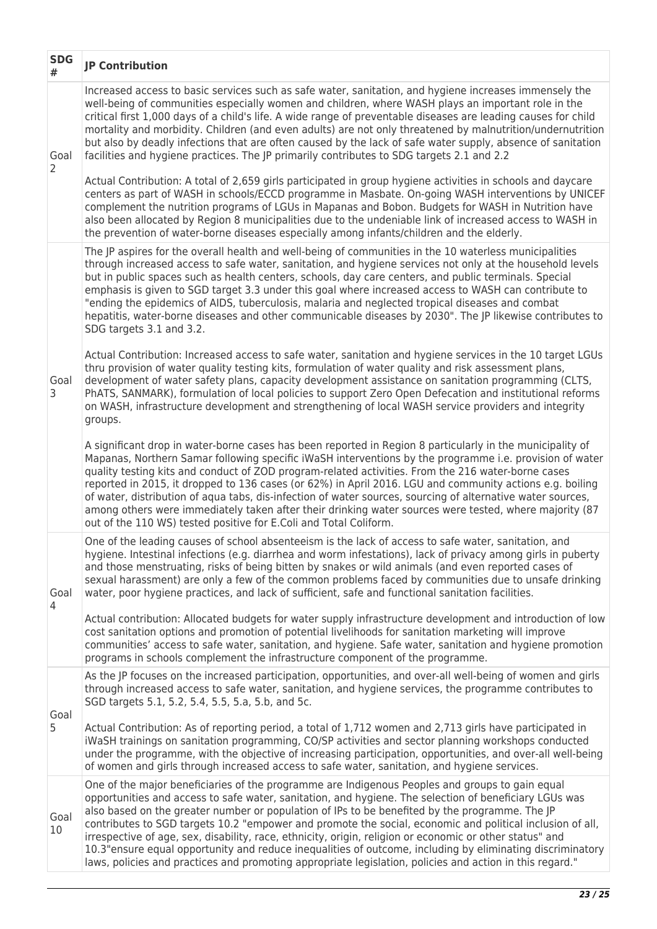| <b>SDG</b><br># | <b>JP Contribution</b>                                                                                                                                                                                                                                                                                                                                                                                                                                                                                                                                                                                                                                                                                                                                         |
|-----------------|----------------------------------------------------------------------------------------------------------------------------------------------------------------------------------------------------------------------------------------------------------------------------------------------------------------------------------------------------------------------------------------------------------------------------------------------------------------------------------------------------------------------------------------------------------------------------------------------------------------------------------------------------------------------------------------------------------------------------------------------------------------|
| Goal<br>2       | Increased access to basic services such as safe water, sanitation, and hygiene increases immensely the<br>well-being of communities especially women and children, where WASH plays an important role in the<br>critical first 1,000 days of a child's life. A wide range of preventable diseases are leading causes for child<br>mortality and morbidity. Children (and even adults) are not only threatened by malnutrition/undernutrition<br>but also by deadly infections that are often caused by the lack of safe water supply, absence of sanitation<br>facilities and hygiene practices. The JP primarily contributes to SDG targets 2.1 and 2.2                                                                                                       |
|                 | Actual Contribution: A total of 2,659 girls participated in group hygiene activities in schools and daycare<br>centers as part of WASH in schools/ECCD programme in Masbate. On-going WASH interventions by UNICEF<br>complement the nutrition programs of LGUs in Mapanas and Bobon. Budgets for WASH in Nutrition have<br>also been allocated by Region 8 municipalities due to the undeniable link of increased access to WASH in<br>the prevention of water-borne diseases especially among infants/children and the elderly.                                                                                                                                                                                                                              |
|                 | The JP aspires for the overall health and well-being of communities in the 10 waterless municipalities<br>through increased access to safe water, sanitation, and hygiene services not only at the household levels<br>but in public spaces such as health centers, schools, day care centers, and public terminals. Special<br>emphasis is given to SGD target 3.3 under this goal where increased access to WASH can contribute to<br>"ending the epidemics of AIDS, tuberculosis, malaria and neglected tropical diseases and combat<br>hepatitis, water-borne diseases and other communicable diseases by 2030". The JP likewise contributes to<br>SDG targets 3.1 and 3.2.                                                                                |
| Goal<br>3       | Actual Contribution: Increased access to safe water, sanitation and hygiene services in the 10 target LGUs<br>thru provision of water quality testing kits, formulation of water quality and risk assessment plans,<br>development of water safety plans, capacity development assistance on sanitation programming (CLTS,<br>PhATS, SANMARK), formulation of local policies to support Zero Open Defecation and institutional reforms<br>on WASH, infrastructure development and strengthening of local WASH service providers and integrity<br>groups.                                                                                                                                                                                                       |
|                 | A significant drop in water-borne cases has been reported in Region 8 particularly in the municipality of<br>Mapanas, Northern Samar following specific iWaSH interventions by the programme i.e. provision of water<br>quality testing kits and conduct of ZOD program-related activities. From the 216 water-borne cases<br>reported in 2015, it dropped to 136 cases (or 62%) in April 2016. LGU and community actions e.g. boiling<br>of water, distribution of aqua tabs, dis-infection of water sources, sourcing of alternative water sources,<br>among others were immediately taken after their drinking water sources were tested, where majority (87<br>out of the 110 WS) tested positive for E.Coli and Total Coliform.                           |
| Goal<br>4       | One of the leading causes of school absenteeism is the lack of access to safe water, sanitation, and<br>hygiene. Intestinal infections (e.g. diarrhea and worm infestations), lack of privacy among girls in puberty<br>and those menstruating, risks of being bitten by snakes or wild animals (and even reported cases of<br>sexual harassment) are only a few of the common problems faced by communities due to unsafe drinking<br>water, poor hygiene practices, and lack of sufficient, safe and functional sanitation facilities.                                                                                                                                                                                                                       |
|                 | Actual contribution: Allocated budgets for water supply infrastructure development and introduction of low<br>cost sanitation options and promotion of potential livelihoods for sanitation marketing will improve<br>communities' access to safe water, sanitation, and hygiene. Safe water, sanitation and hygiene promotion<br>programs in schools complement the infrastructure component of the programme.                                                                                                                                                                                                                                                                                                                                                |
| Goal            | As the JP focuses on the increased participation, opportunities, and over-all well-being of women and girls<br>through increased access to safe water, sanitation, and hygiene services, the programme contributes to<br>SGD targets 5.1, 5.2, 5.4, 5.5, 5.a, 5.b, and 5c.                                                                                                                                                                                                                                                                                                                                                                                                                                                                                     |
| 5               | Actual Contribution: As of reporting period, a total of 1,712 women and 2,713 girls have participated in<br>iWaSH trainings on sanitation programming, CO/SP activities and sector planning workshops conducted<br>under the programme, with the objective of increasing participation, opportunities, and over-all well-being<br>of women and girls through increased access to safe water, sanitation, and hygiene services.                                                                                                                                                                                                                                                                                                                                 |
| Goal<br>10      | One of the major beneficiaries of the programme are Indigenous Peoples and groups to gain equal<br>opportunities and access to safe water, sanitation, and hygiene. The selection of beneficiary LGUs was<br>also based on the greater number or population of IPs to be benefited by the programme. The JP<br>contributes to SGD targets 10.2 "empower and promote the social, economic and political inclusion of all,<br>irrespective of age, sex, disability, race, ethnicity, origin, religion or economic or other status" and<br>10.3" ensure equal opportunity and reduce inequalities of outcome, including by eliminating discriminatory<br>laws, policies and practices and promoting appropriate legislation, policies and action in this regard." |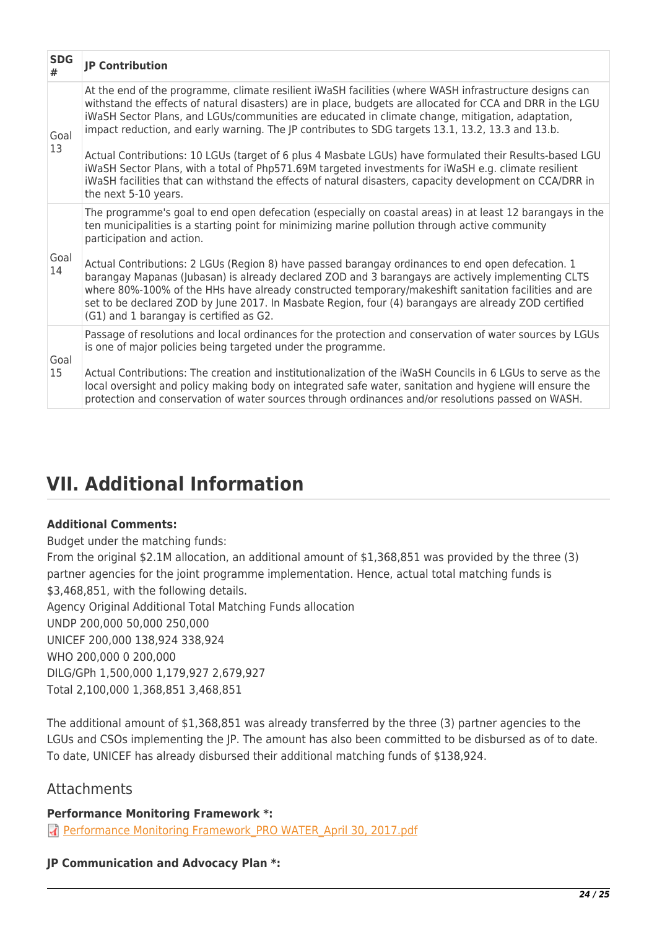| <b>SDG</b><br># | <b>JP Contribution</b>                                                                                                                                                                                                                                                                                                                                                                                                                                            |
|-----------------|-------------------------------------------------------------------------------------------------------------------------------------------------------------------------------------------------------------------------------------------------------------------------------------------------------------------------------------------------------------------------------------------------------------------------------------------------------------------|
| Goal<br>13      | At the end of the programme, climate resilient iWaSH facilities (where WASH infrastructure designs can<br>withstand the effects of natural disasters) are in place, budgets are allocated for CCA and DRR in the LGU<br>iWaSH Sector Plans, and LGUs/communities are educated in climate change, mitigation, adaptation,<br>impact reduction, and early warning. The JP contributes to SDG targets 13.1, 13.2, 13.3 and 13.b.                                     |
|                 | Actual Contributions: 10 LGUs (target of 6 plus 4 Masbate LGUs) have formulated their Results-based LGU<br>iWaSH Sector Plans, with a total of Php571.69M targeted investments for iWaSH e.g. climate resilient<br>iWaSH facilities that can withstand the effects of natural disasters, capacity development on CCA/DRR in<br>the next 5-10 years.                                                                                                               |
|                 | The programme's goal to end open defecation (especially on coastal areas) in at least 12 barangays in the<br>ten municipalities is a starting point for minimizing marine pollution through active community<br>participation and action.                                                                                                                                                                                                                         |
| Goal<br>14      | Actual Contributions: 2 LGUs (Region 8) have passed barangay ordinances to end open defecation. 1<br>barangay Mapanas (Jubasan) is already declared ZOD and 3 barangays are actively implementing CLTS<br>where 80%-100% of the HHs have already constructed temporary/makeshift sanitation facilities and are<br>set to be declared ZOD by June 2017. In Masbate Region, four (4) barangays are already ZOD certified<br>(G1) and 1 barangay is certified as G2. |
| Goal            | Passage of resolutions and local ordinances for the protection and conservation of water sources by LGUs<br>is one of major policies being targeted under the programme.                                                                                                                                                                                                                                                                                          |
| 15              | Actual Contributions: The creation and institutionalization of the iWaSH Councils in 6 LGUs to serve as the<br>local oversight and policy making body on integrated safe water, sanitation and hygiene will ensure the<br>protection and conservation of water sources through ordinances and/or resolutions passed on WASH.                                                                                                                                      |

# **VII. Additional Information**

### **Additional Comments:**

Budget under the matching funds:

From the original \$2.1M allocation, an additional amount of \$1,368,851 was provided by the three (3) partner agencies for the joint programme implementation. Hence, actual total matching funds is \$3,468,851, with the following details.

Agency Original Additional Total Matching Funds allocation UNDP 200,000 50,000 250,000 UNICEF 200,000 138,924 338,924 WHO 200,000 0 200,000 DILG/GPh 1,500,000 1,179,927 2,679,927 Total 2,100,000 1,368,851 3,468,851

The additional amount of \$1,368,851 was already transferred by the three (3) partner agencies to the LGUs and CSOs implementing the JP. The amount has also been committed to be disbursed as of to date. To date, UNICEF has already disbursed their additional matching funds of \$138,924.

## **Attachments**

### **Performance Monitoring Framework \*:**

**R** Performance Monitoring Framework PRO WATER April 30, 2017.pdf

### **JP Communication and Advocacy Plan \*:**